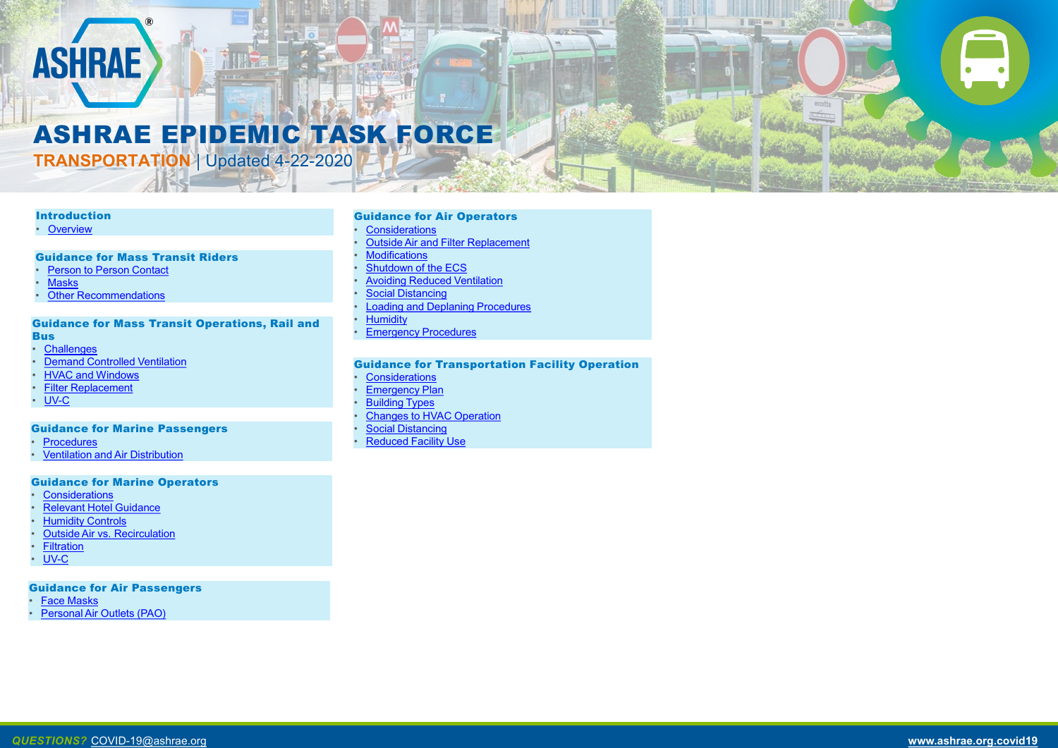### Introduction

<span id="page-0-0"></span>**ASHRAE** 

**[Overview](#page-1-0)** 

### Guidance for Mass Transit Operations, Rail and **Bus**

- **[Challenges](#page-10-0)**
- **[Demand Controlled Ventilation](#page-11-0)**
- [HVAC and Windows](#page-12-0)
- **[Filter Replacement](#page-13-0)**
- [UV-C](#page-14-0)

### Guidance for Mass Transit Riders

- **[Person to Person Contact](#page-7-0)**
- **[Masks](#page-8-0)**
- **[Other Recommendations](#page-9-0)**



### ASHRAE EPIDEMIC TASK FORCE

**TRANSPORTATION** | Updated 4-22-2020

### Guidance for Marine Passengers

- **[Procedures](#page-15-0)**
- <u>[Ventilation and Air Distribution](#page-16-0)</u>

### Guidance for Air Passengers

- **[Face Masks](#page-23-0)**
- **[Personal Air Outlets \(PAO\)](#page-24-0)**
- **[Considerations](#page-17-0)**
- **[Relevant Hotel Guidance](#page-18-0)**
- **[Humidity Controls](#page-19-0)**
- **[Outside Air vs. Recirculation](#page-20-0)**
- **[Filtration](#page-21-0)**
- [UV-C](#page-22-0)

### Guidance for Air Operators

- **[Considerations](#page-25-0)**
- **[Outside Air and Filter Replacement](#page-26-0)**
- **[Modifications](#page-27-0)**
- **[Shutdown of the ECS](#page-28-0)**
- [Avoiding Reduced Ventilation](#page-31-0)
- **[Social Distancing](#page-32-0)**
- [Loading and Deplaning Procedures](#page-33-0)
- **[Humidity](#page-34-0)**
- **[Emergency Procedures](#page-35-0)**

### Guidance for Transportation Facility Operation

- **[Considerations](#page-36-0)**
- **[Emergency Plan](#page-37-0)**
- **[Building Types](#page-38-0)**
- [Changes to HVAC Operation](#page-39-0)
- **[Social Distancing](#page-41-0)**
- **[Reduced Facility Use](#page-42-0)**

### Guidance for Marine Operators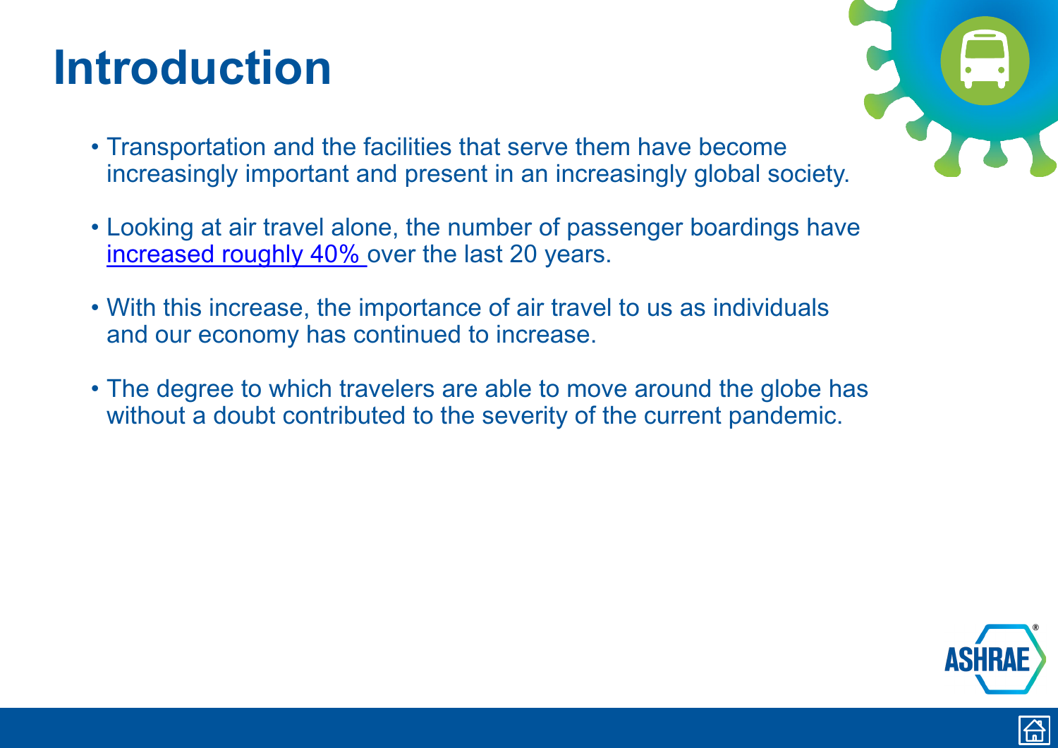### <span id="page-1-0"></span>**Introduction**

- Transportation and the facilities that serve them have become increasingly important and present in an increasingly global society.
- Looking at air travel alone, the number of passenger boardings have [increased roughly 40%](https://transtats.bts.gov/homepage.asp) over the last 20 years.
- With this increase, the importance of air travel to us as individuals and our economy has continued to increase.
- The degree to which travelers are able to move around the globe has without a doubt contributed to the severity of the current pandemic.





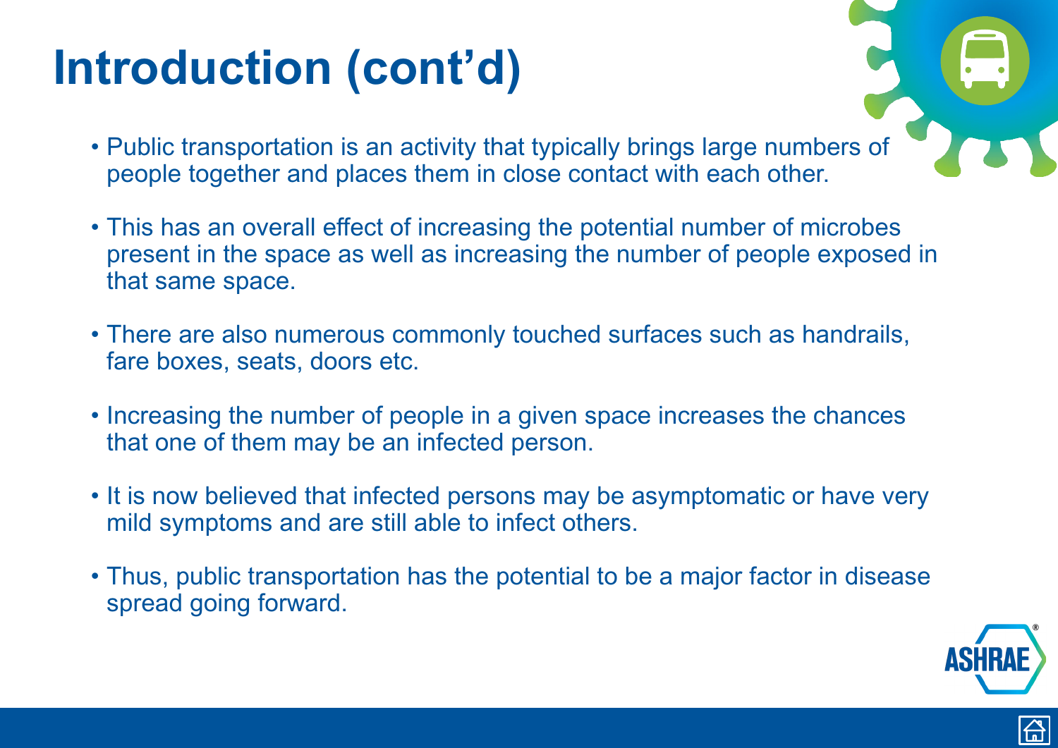- Public transportation is an activity that typically brings large numbers of people together and places them in close contact with each other.
- This has an overall effect of increasing the potential number of microbes present in the space as well as increasing the number of people exposed in that same space.
- There are also numerous commonly touched surfaces such as handrails, fare boxes, seats, doors etc.
- Increasing the number of people in a given space increases the chances that one of them may be an infected person.
- It is now believed that infected persons may be asymptomatic or have very mild symptoms and are still able to infect others.
- Thus, public transportation has the potential to be a major factor in disease spread going forward.





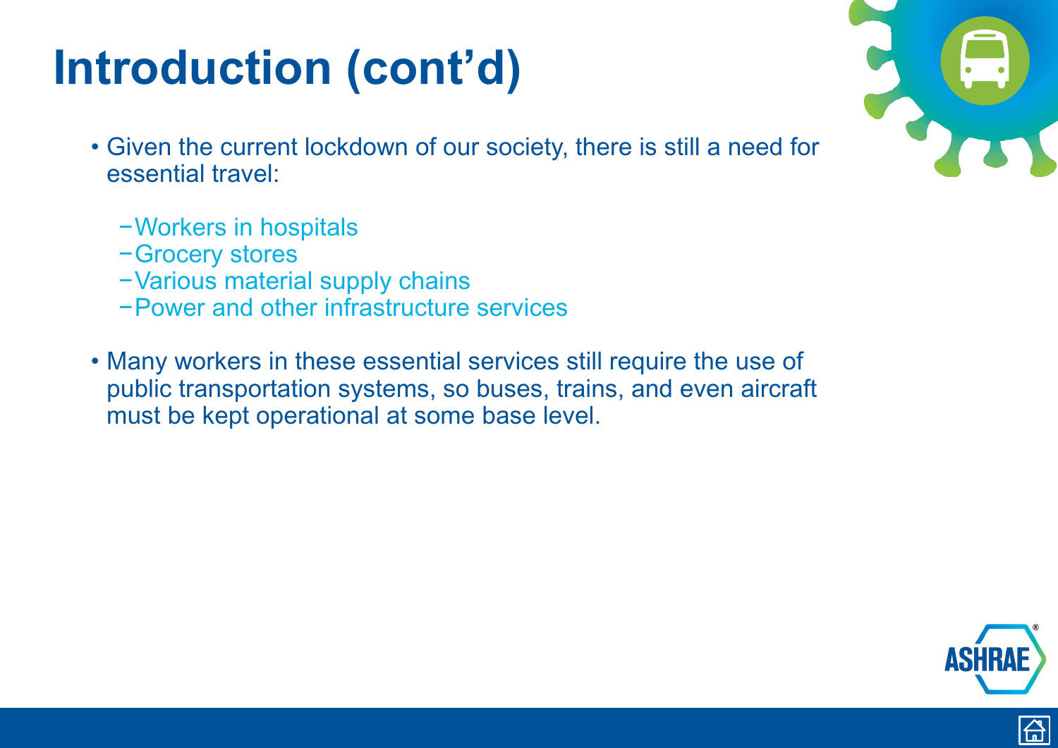- Given the current lockdown of our society, there is still a need for essential travel:
	- −Workers in hospitals
	- −Grocery stores
	- −Various material supply chains
	- −Power and other infrastructure services
- Many workers in these essential services still require the use of public transportation systems, so buses, trains, and even aircraft must be kept operational at some base level.



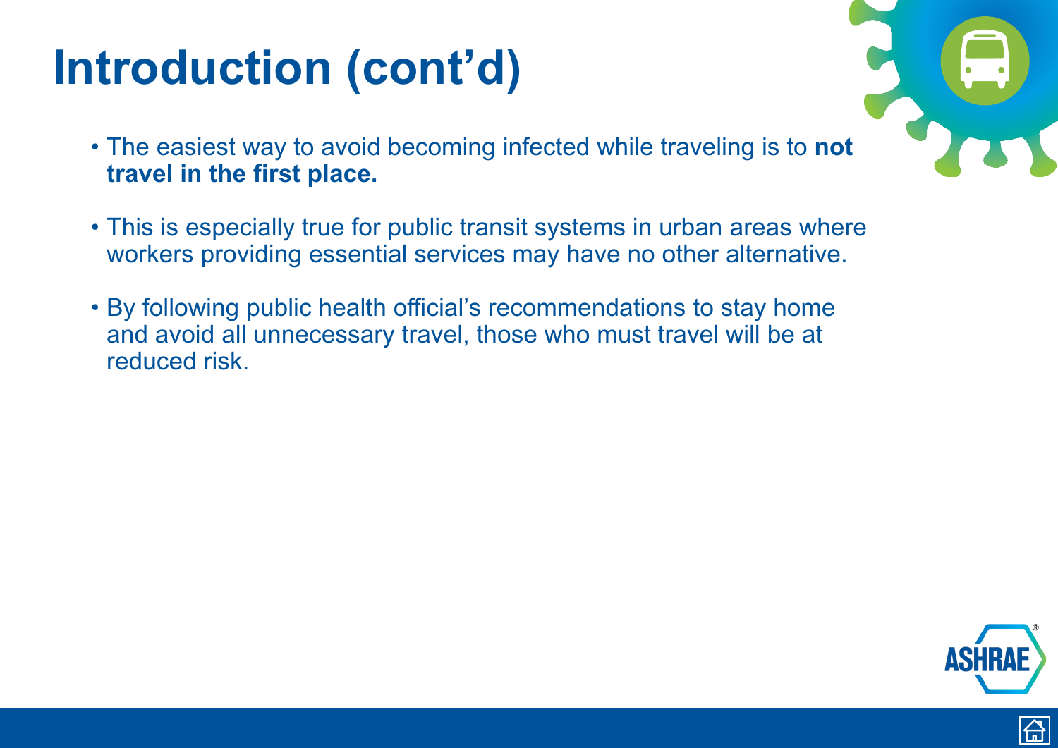- The easiest way to avoid becoming infected while traveling is to **not travel in the first place.**
- This is especially true for public transit systems in urban areas where workers providing essential services may have no other alternative.
- By following public health official's recommendations to stay home and avoid all unnecessary travel, those who must travel will be at reduced risk.





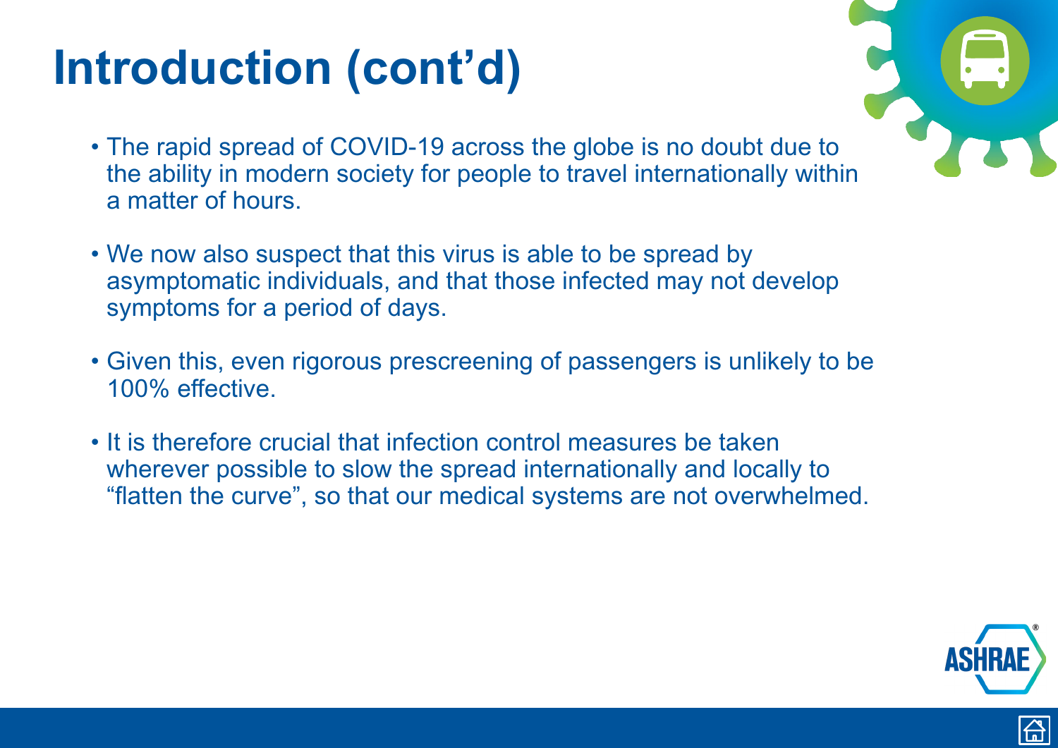- The rapid spread of COVID-19 across the globe is no doubt due to the ability in modern society for people to travel internationally within a matter of hours.
- We now also suspect that this virus is able to be spread by asymptomatic individuals, and that those infected may not develop symptoms for a period of days.
- Given this, even rigorous prescreening of passengers is unlikely to be 100% effective.
- It is therefore crucial that infection control measures be taken wherever possible to slow the spread internationally and locally to "flatten the curve", so that our medical systems are not overwhelmed.





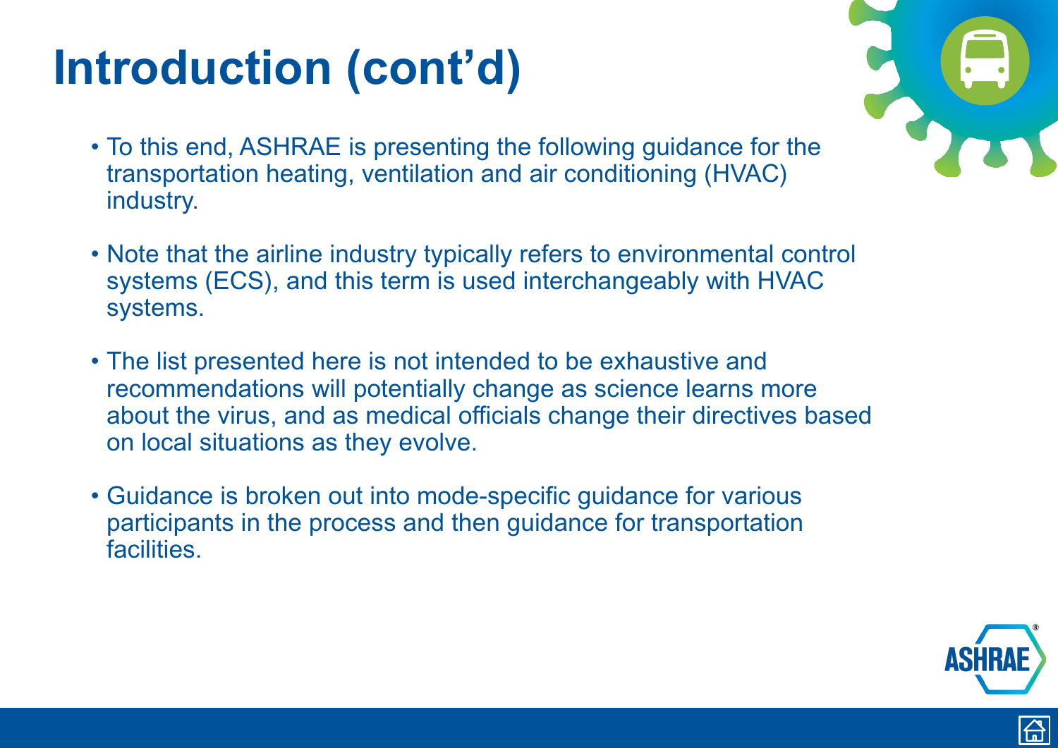- To this end, ASHRAE is presenting the following guidance for the transportation heating, ventilation and air conditioning (HVAC) industry.
- Note that the airline industry typically refers to environmental control systems (ECS), and this term is used interchangeably with HVAC systems.
- The list presented here is not intended to be exhaustive and recommendations will potentially change as science learns more about the virus, and as medical officials change their directives based on local situations as they evolve.
- Guidance is broken out into mode-specific guidance for various participants in the process and then guidance for transportation facilities.







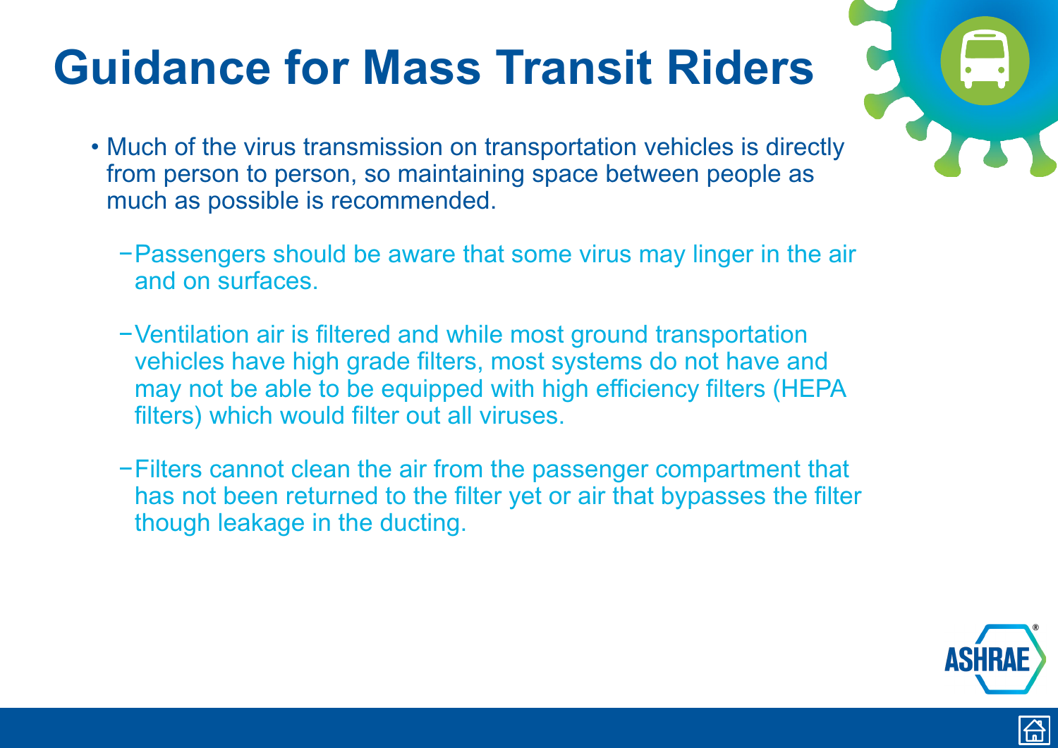### <span id="page-7-0"></span>**Guidance for Mass Transit Riders**

- Much of the virus transmission on transportation vehicles is directly from person to person, so maintaining space between people as much as possible is recommended.
	- −Passengers should be aware that some virus may linger in the air and on surfaces.
	- −Ventilation air is filtered and while most ground transportation vehicles have high grade filters, most systems do not have and may not be able to be equipped with high efficiency filters (HEPA filters) which would filter out all viruses.
	- −Filters cannot clean the air from the passenger compartment that has not been returned to the filter yet or air that bypasses the filter though leakage in the ducting.





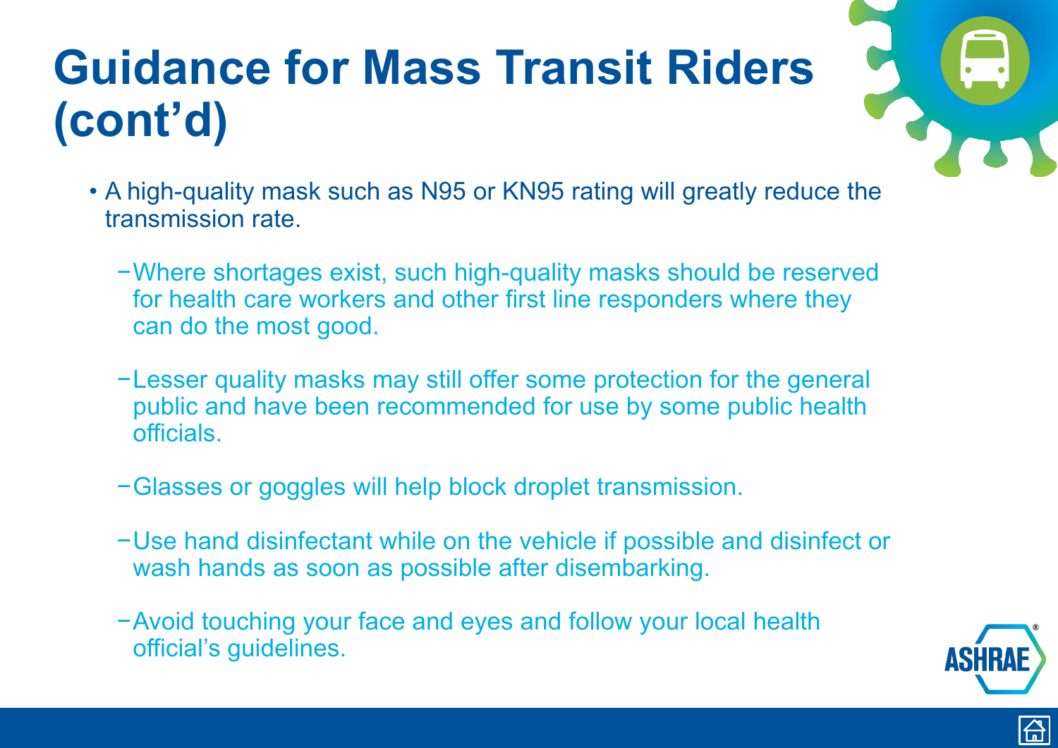## <span id="page-8-0"></span>**Guidance for Mass Transit Riders (cont'd)**

- A high-quality mask such as N95 or KN95 rating will greatly reduce the transmission rate.
	- −Where shortages exist, such high-quality masks should be reserved for health care workers and other first line responders where they can do the most good.
	- −Lesser quality masks may still offer some protection for the general public and have been recommended for use by some public health officials.
	- −Glasses or goggles will help block droplet transmission.
	- −Use hand disinfectant while on the vehicle if possible and disinfect or wash hands as soon as possible after disembarking.
	- −Avoid touching your face and eyes and follow your local health official's guidelines.





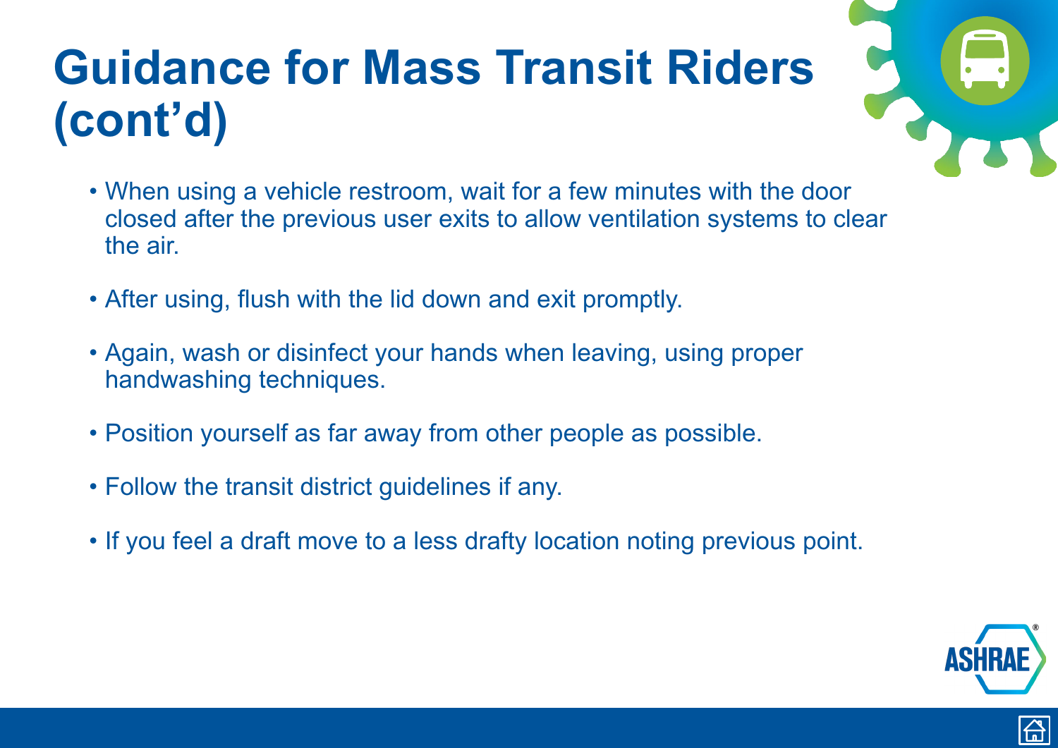## <span id="page-9-0"></span>**Guidance for Mass Transit Riders (cont'd)**

- When using a vehicle restroom, wait for a few minutes with the door closed after the previous user exits to allow ventilation systems to clear the air.
- After using, flush with the lid down and exit promptly.
- Again, wash or disinfect your hands when leaving, using proper handwashing techniques.
- Position yourself as far away from other people as possible.
- Follow the transit district guidelines if any.
- If you feel a draft move to a less drafty location noting previous point.





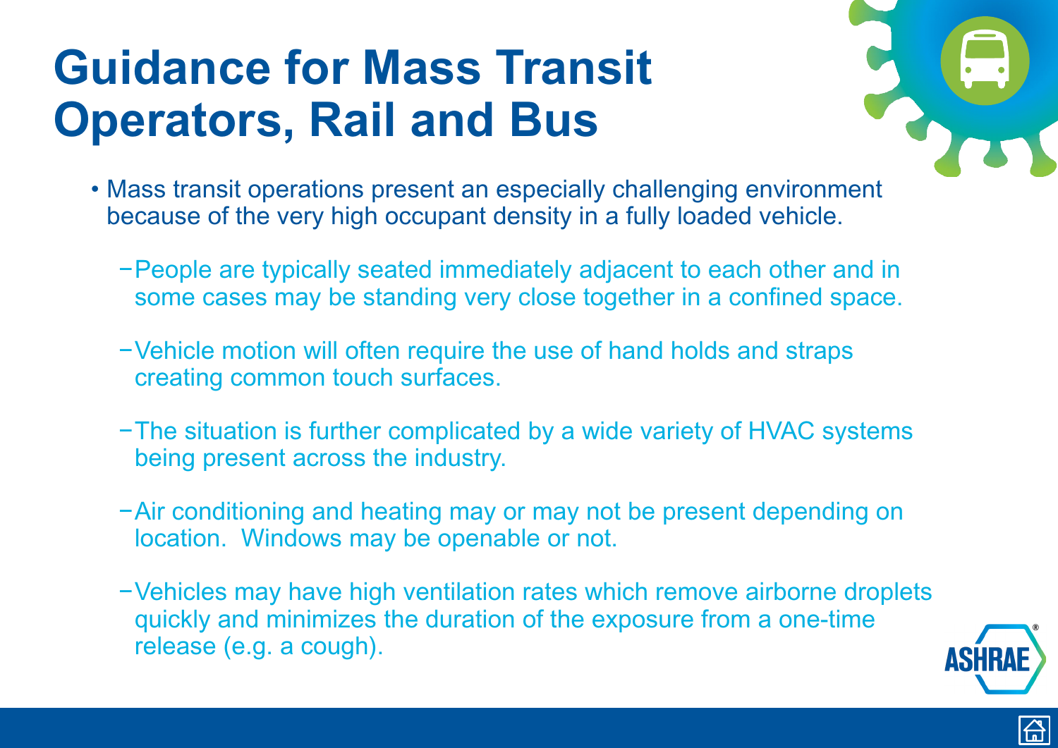- <span id="page-10-0"></span>• Mass transit operations present an especially challenging environment because of the very high occupant density in a fully loaded vehicle.
	- −People are typically seated immediately adjacent to each other and in some cases may be standing very close together in a confined space.
	- −Vehicle motion will often require the use of hand holds and straps creating common touch surfaces.
	- −The situation is further complicated by a wide variety of HVAC systems being present across the industry.
	- −Air conditioning and heating may or may not be present depending on location. Windows may be openable or not.
	- −Vehicles may have high ventilation rates which remove airborne droplets quickly and minimizes the duration of the exposure from a one-time release (e.g. a cough).



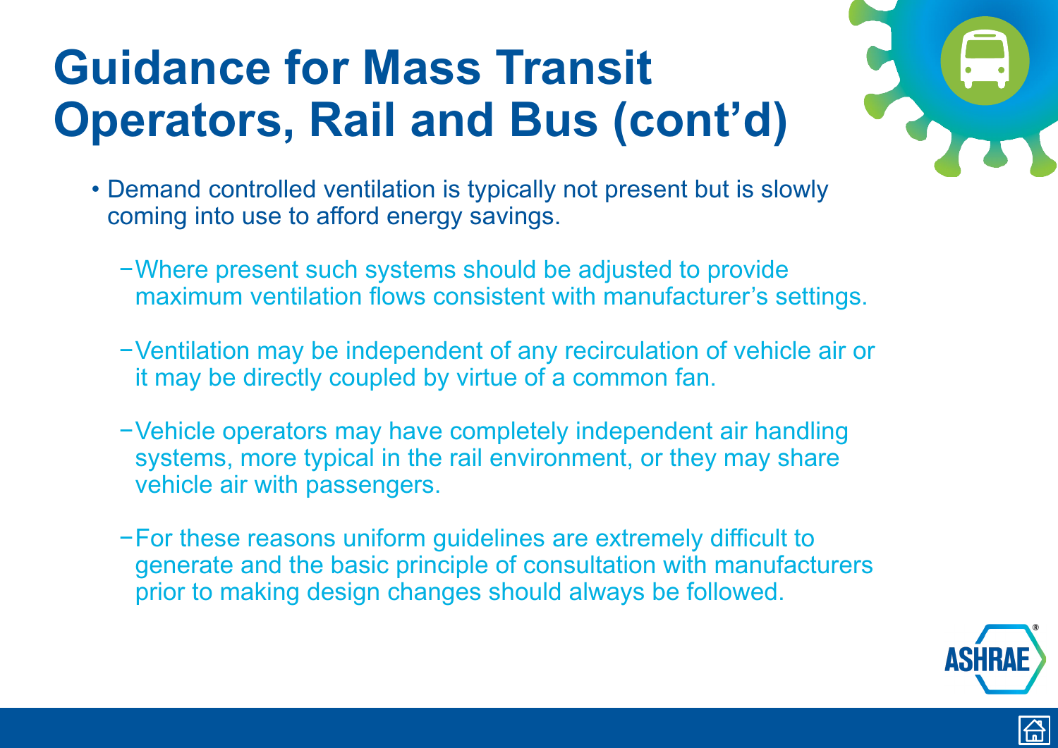- <span id="page-11-0"></span>• Demand controlled ventilation is typically not present but is slowly coming into use to afford energy savings.
	- −Where present such systems should be adjusted to provide maximum ventilation flows consistent with manufacturer's settings.
	- −Ventilation may be independent of any recirculation of vehicle air or it may be directly coupled by virtue of a common fan.
	- −Vehicle operators may have completely independent air handling systems, more typical in the rail environment, or they may share vehicle air with passengers.
	- −For these reasons uniform guidelines are extremely difficult to generate and the basic principle of consultation with manufacturers prior to making design changes should always be followed.





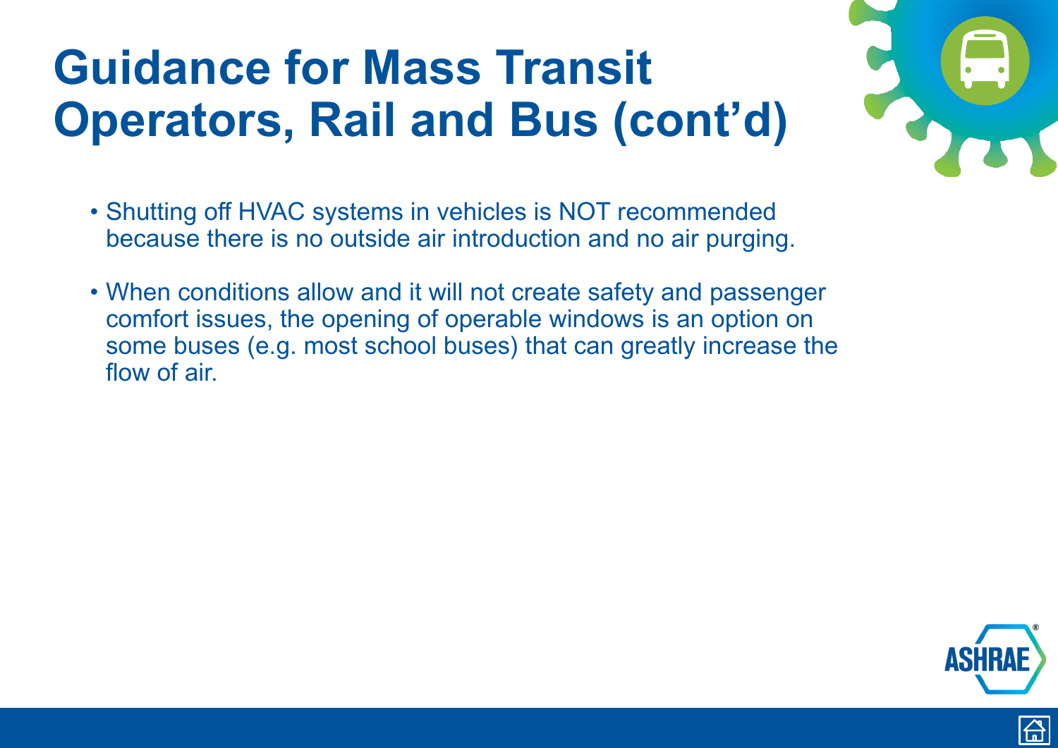- <span id="page-12-0"></span>• Shutting off HVAC systems in vehicles is NOT recommended because there is no outside air introduction and no air purging.
- When conditions allow and it will not create safety and passenger comfort issues, the opening of operable windows is an option on some buses (e.g. most school buses) that can greatly increase the flow of air.





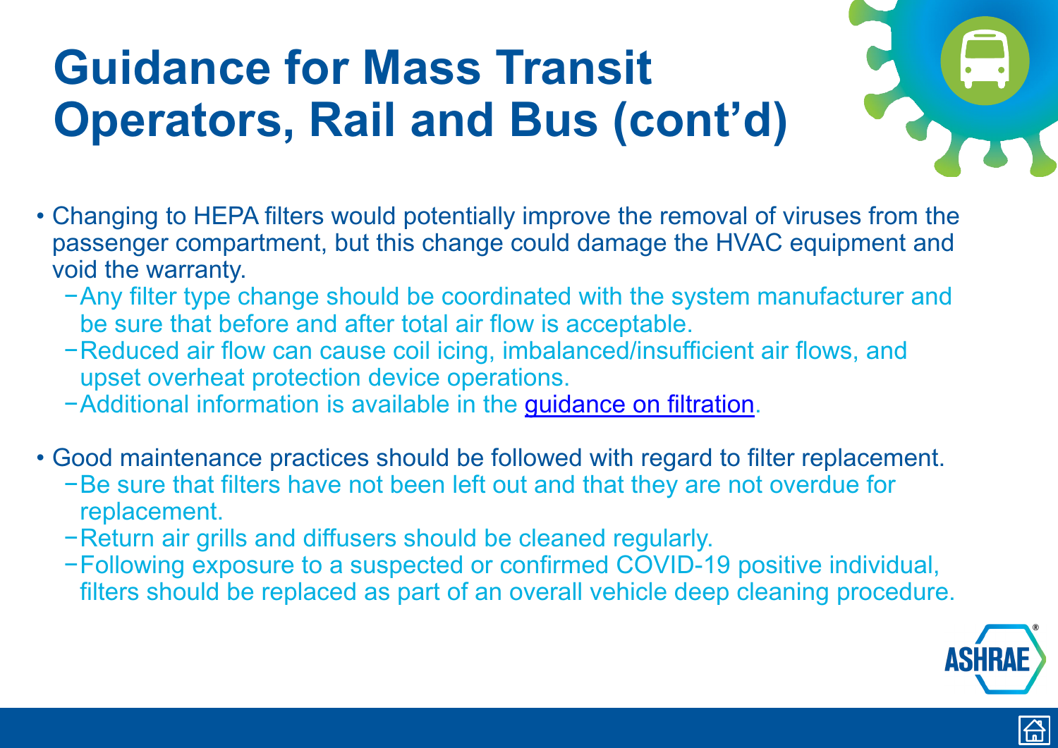- <span id="page-13-0"></span>• Changing to HEPA filters would potentially improve the removal of viruses from the passenger compartment, but this change could damage the HVAC equipment and void the warranty.
	- −Any filter type change should be coordinated with the system manufacturer and be sure that before and after total air flow is acceptable.
	- −Reduced air flow can cause coil icing, imbalanced/insufficient air flows, and upset overheat protection device operations.
	- −Additional information is available in the [guidance on filtration.](https://www.ashrae.org/technical-resources/filtration-disinfection#modes)
- Good maintenance practices should be followed with regard to filter replacement.
	- −Be sure that filters have not been left out and that they are not overdue for replacement.
	- −Return air grills and diffusers should be cleaned regularly.
	- −Following exposure to a suspected or confirmed COVID-19 positive individual, filters should be replaced as part of an overall vehicle deep cleaning procedure.





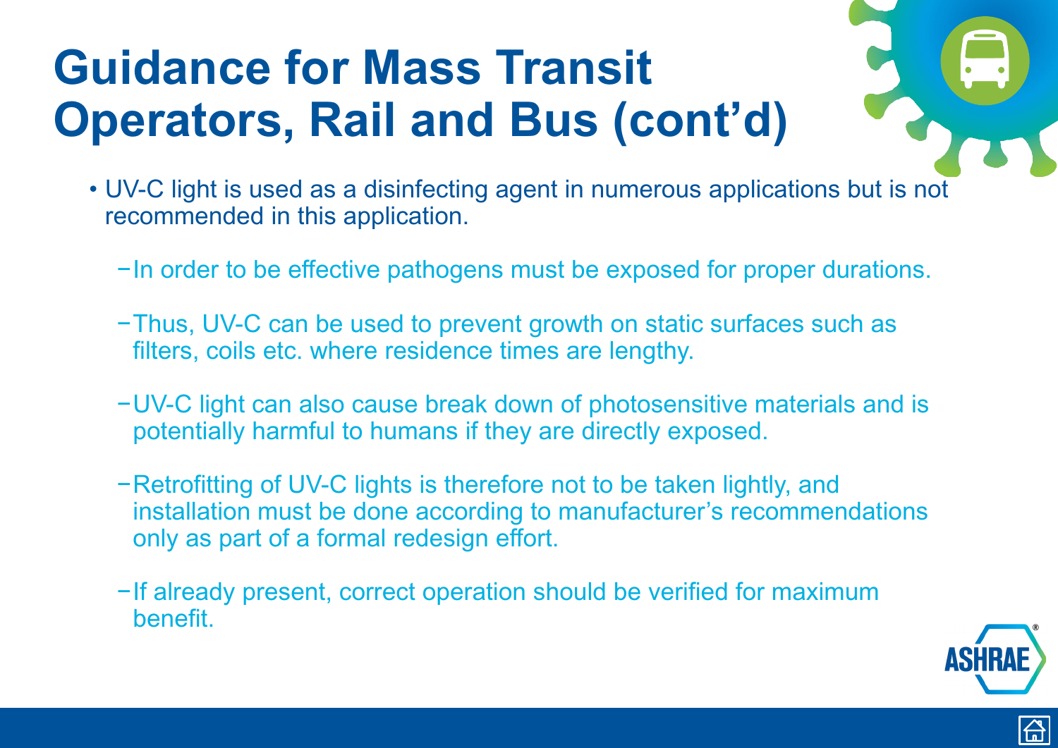- <span id="page-14-0"></span>• UV-C light is used as a disinfecting agent in numerous applications but is not recommended in this application.
	- −In order to be effective pathogens must be exposed for proper durations.
	- −Thus, UV-C can be used to prevent growth on static surfaces such as filters, coils etc. where residence times are lengthy.
	- −UV-C light can also cause break down of photosensitive materials and is potentially harmful to humans if they are directly exposed.
	- −Retrofitting of UV-C lights is therefore not to be taken lightly, and installation must be done according to manufacturer's recommendations only as part of a formal redesign effort.
	- −If already present, correct operation should be verified for maximum benefit.





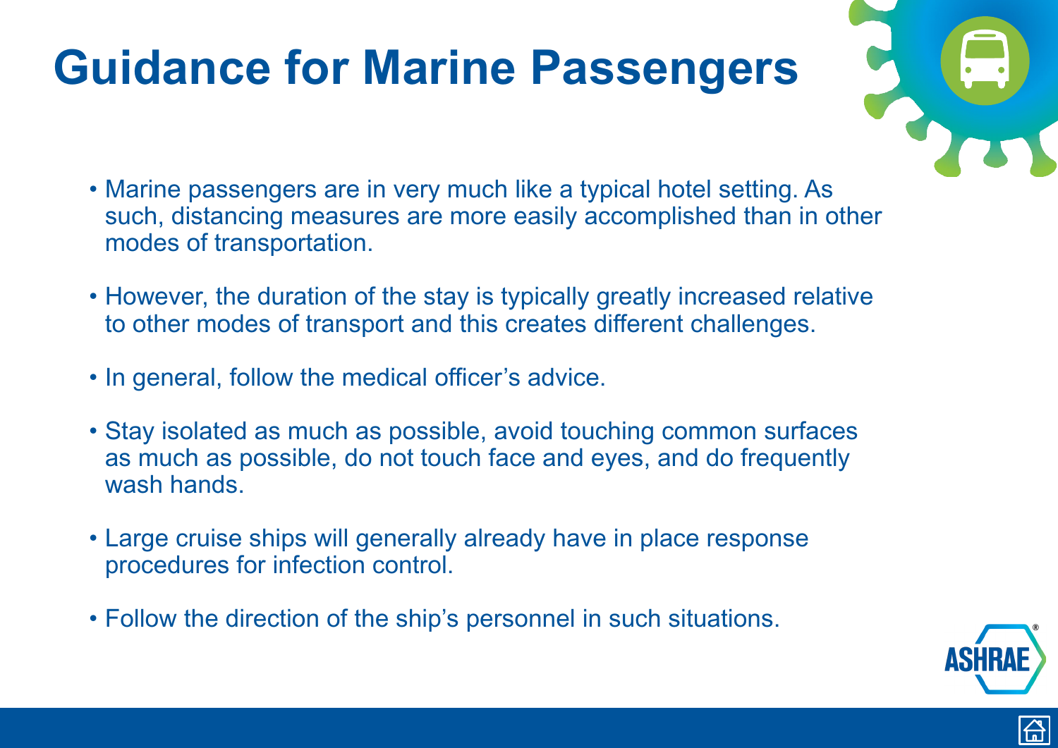### <span id="page-15-0"></span>**Guidance for Marine Passengers**

- Marine passengers are in very much like a typical hotel setting. As such, distancing measures are more easily accomplished than in other modes of transportation.
- However, the duration of the stay is typically greatly increased relative to other modes of transport and this creates different challenges.
- In general, follow the medical officer's advice.
- Stay isolated as much as possible, avoid touching common surfaces as much as possible, do not touch face and eyes, and do frequently wash hands.
- Large cruise ships will generally already have in place response procedures for infection control.
- Follow the direction of the ship's personnel in such situations.







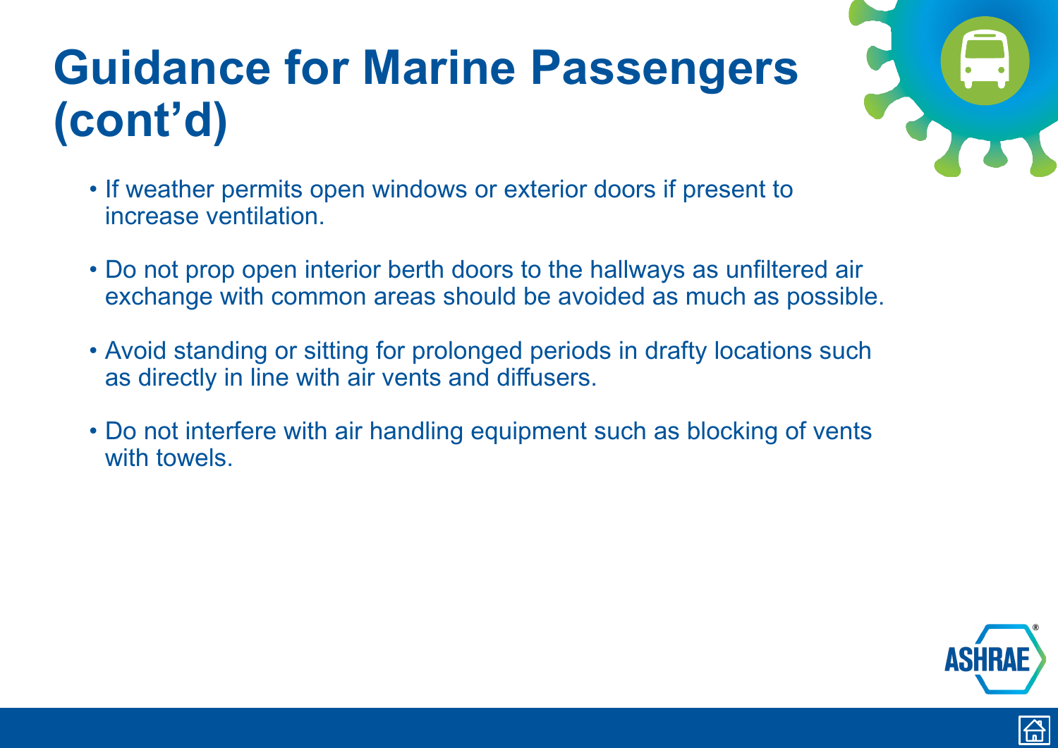### <span id="page-16-0"></span>**Guidance for Marine Passengers (cont'd)**

- If weather permits open windows or exterior doors if present to increase ventilation.
- Do not prop open interior berth doors to the hallways as unfiltered air exchange with common areas should be avoided as much as possible.
- Avoid standing or sitting for prolonged periods in drafty locations such as directly in line with air vents and diffusers.
- Do not interfere with air handling equipment such as blocking of vents with towels.





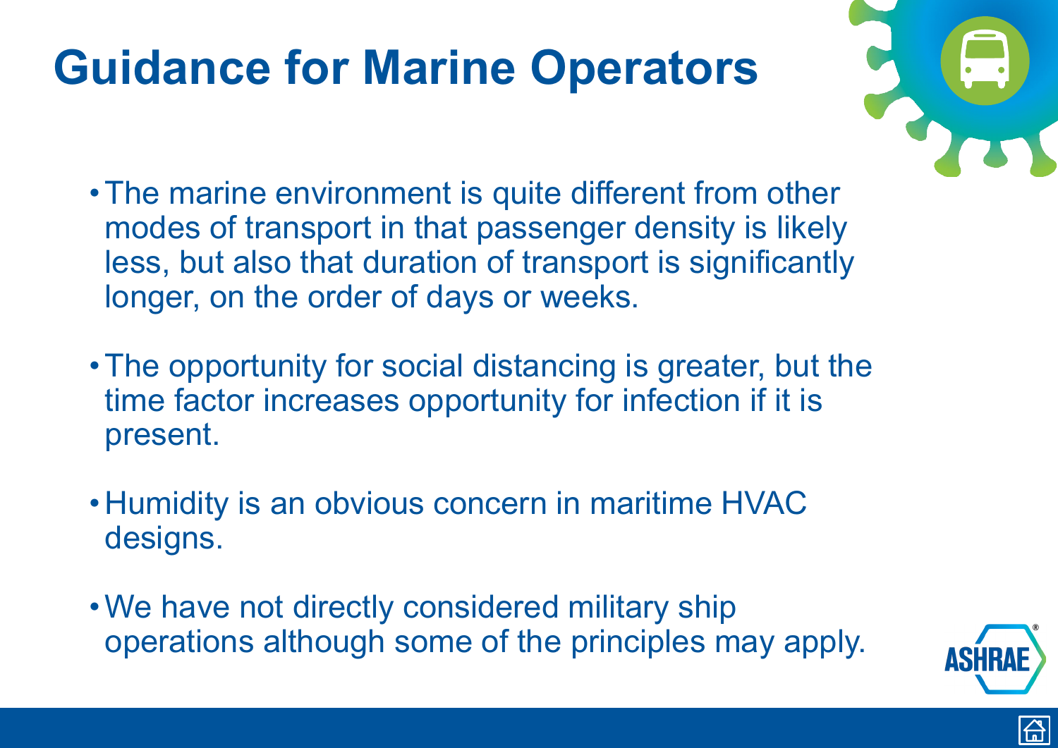### <span id="page-17-0"></span>**Guidance for Marine Operators**

- •The marine environment is quite different from other modes of transport in that passenger density is likely less, but also that duration of transport is significantly longer, on the order of days or weeks.
- •The opportunity for social distancing is greater, but the time factor increases opportunity for infection if it is present.
- Humidity is an obvious concern in maritime HVAC designs.
- •We have not directly considered military ship operations although some of the principles may apply.







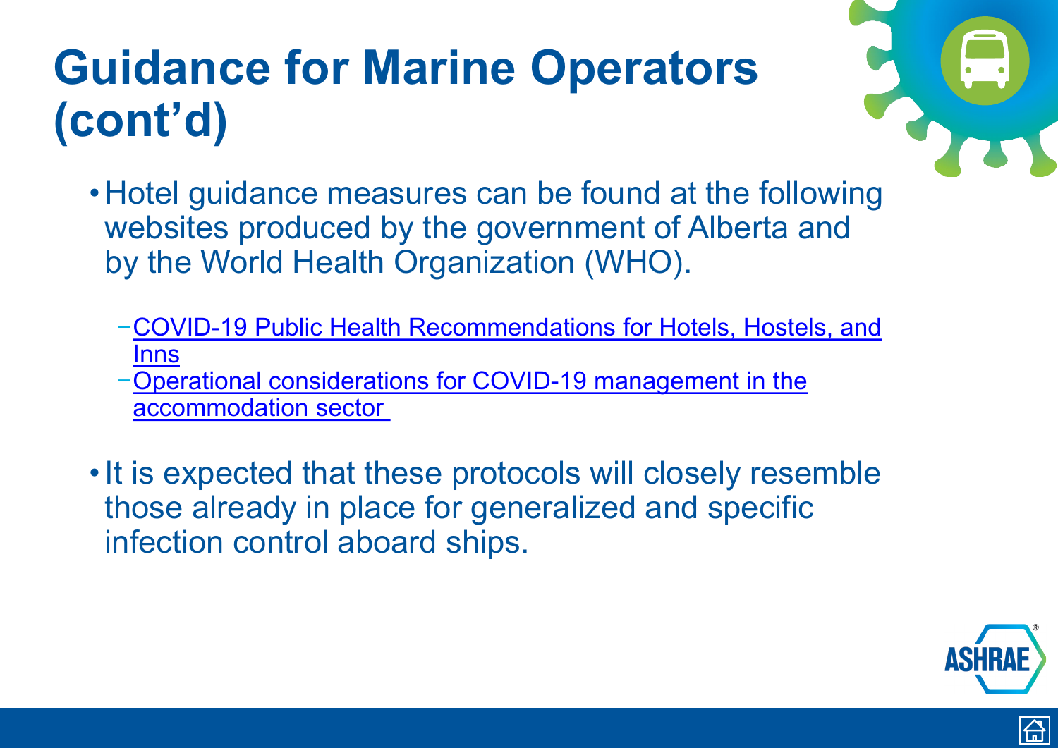- <span id="page-18-0"></span>• Hotel guidance measures can be found at the following websites produced by the government of Alberta and by the World Health Organization (WHO).
	- [−COVID-19 Public Health Recommendations for Hotels, Hostels, and](https://www.albertahealthservices.ca/assets/info/ppih/if-ppih-covid-19-environmental-guidance-for-hotels-kbk.pdf)  Inns
	- [−Operational considerations for COVID-19 management in the](https://apps.who.int/iris/bitstream/handle/10665/331638/WHO-2019-nCoV-Hotels-2020.1-eng.pdf)  accommodation sector
- It is expected that these protocols will closely resemble those already in place for generalized and specific infection control aboard ships.





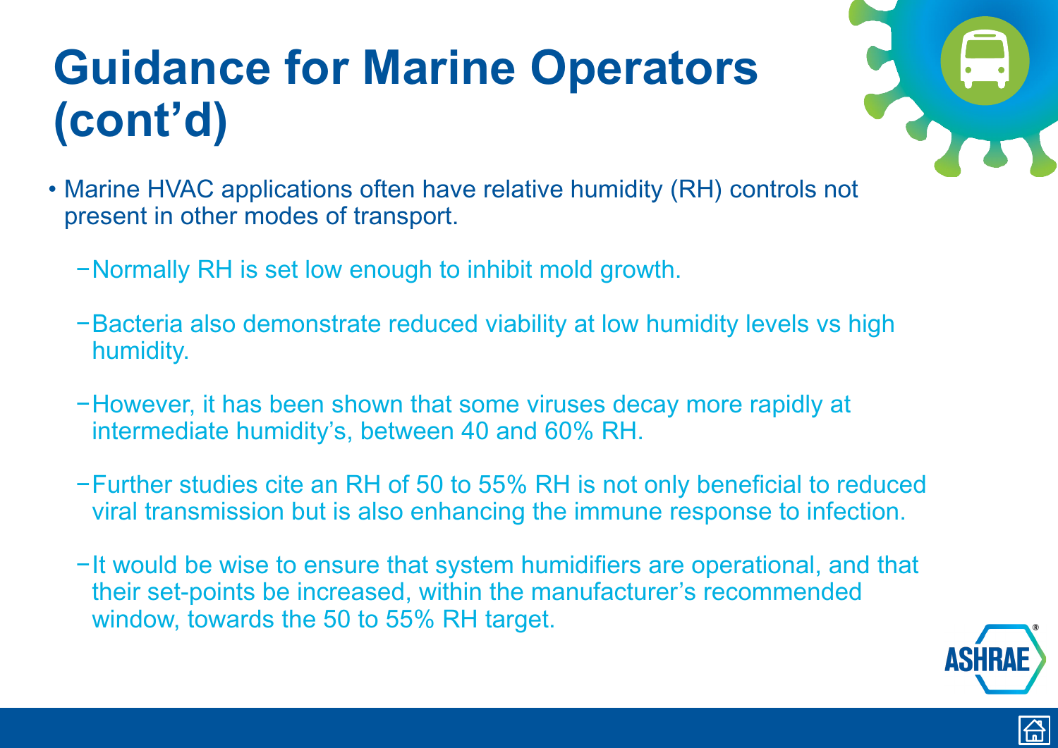- <span id="page-19-0"></span>• Marine HVAC applications often have relative humidity (RH) controls not present in other modes of transport.
	- −Normally RH is set low enough to inhibit mold growth.
	- −Bacteria also demonstrate reduced viability at low humidity levels vs high humidity.
	- −However, it has been shown that some viruses decay more rapidly at intermediate humidity's, between 40 and 60% RH.
	- −Further studies cite an RH of 50 to 55% RH is not only beneficial to reduced viral transmission but is also enhancing the immune response to infection.
	- −It would be wise to ensure that system humidifiers are operational, and that their set-points be increased, within the manufacturer's recommended window, towards the 50 to 55% RH target.





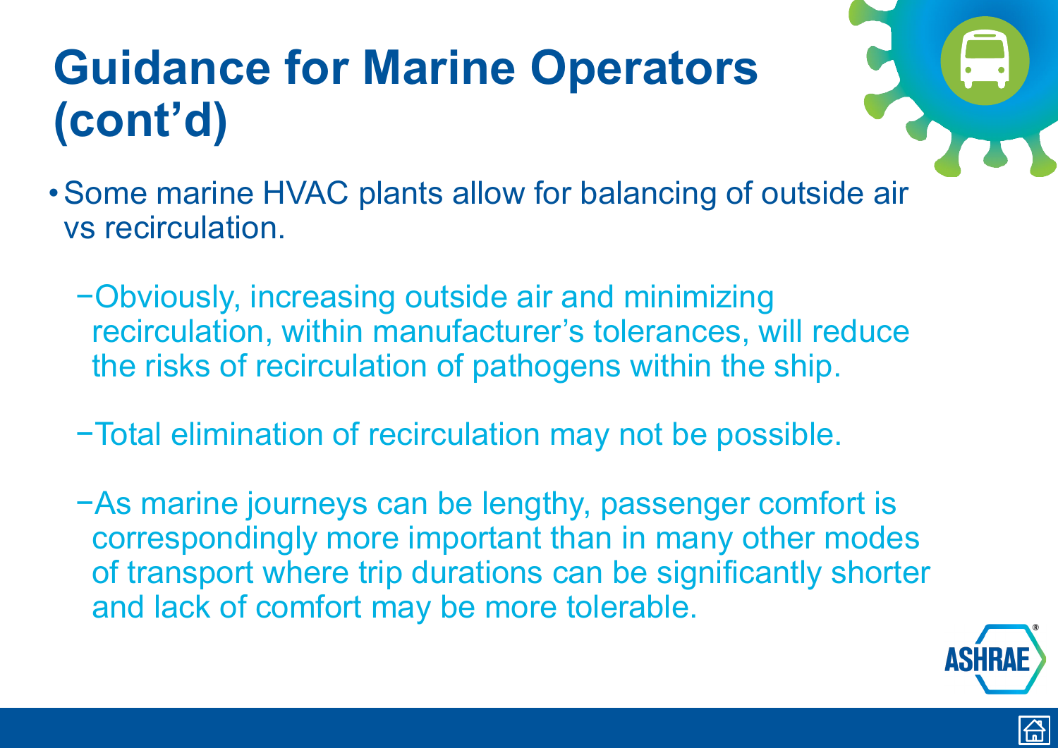- <span id="page-20-0"></span>•Some marine HVAC plants allow for balancing of outside air vs recirculation.
	- −Obviously, increasing outside air and minimizing recirculation, within manufacturer's tolerances, will reduce the risks of recirculation of pathogens within the ship.
	- −Total elimination of recirculation may not be possible.
	- −As marine journeys can be lengthy, passenger comfort is correspondingly more important than in many other modes of transport where trip durations can be significantly shorter and lack of comfort may be more tolerable.





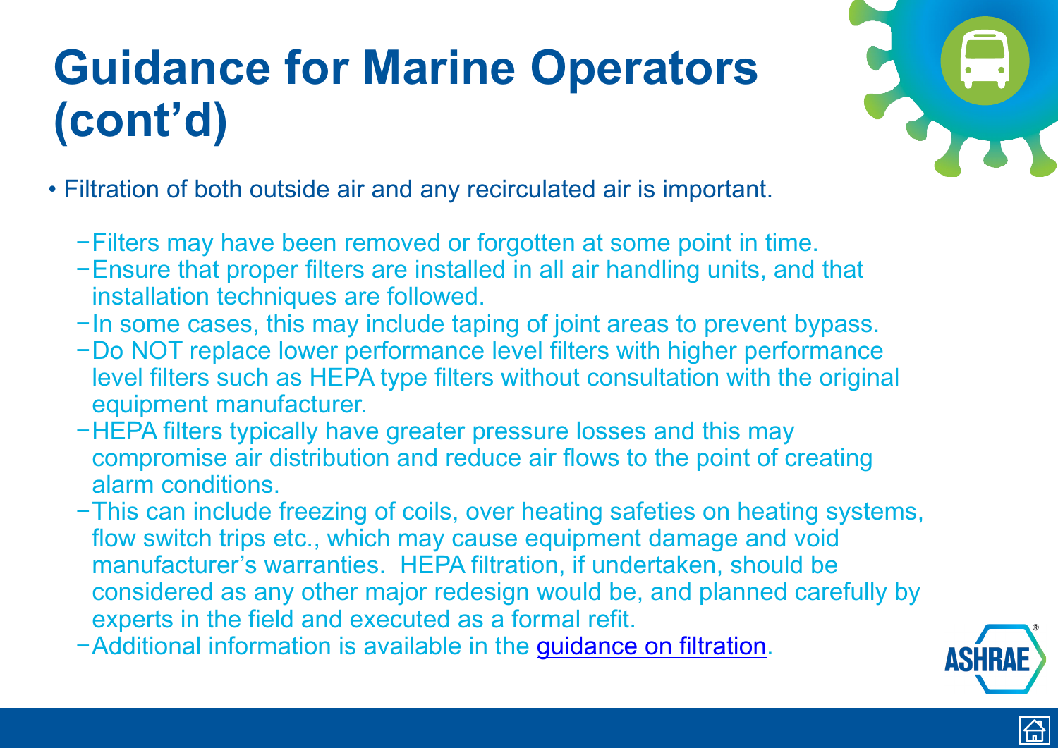- <span id="page-21-0"></span>• Filtration of both outside air and any recirculated air is important.
	- −Filters may have been removed or forgotten at some point in time.
	- −Ensure that proper filters are installed in all air handling units, and that installation techniques are followed.
	- −In some cases, this may include taping of joint areas to prevent bypass.
	- −Do NOT replace lower performance level filters with higher performance level filters such as HEPA type filters without consultation with the original equipment manufacturer.
	- −HEPA filters typically have greater pressure losses and this may compromise air distribution and reduce air flows to the point of creating alarm conditions.
	- −This can include freezing of coils, over heating safeties on heating systems, flow switch trips etc., which may cause equipment damage and void manufacturer's warranties. HEPA filtration, if undertaken, should be considered as any other major redesign would be, and planned carefully by experts in the field and executed as a formal refit.
	- −Additional information is available in the [guidance on filtration](https://www.ashrae.org/technical-resources/filtration-disinfection#modes).





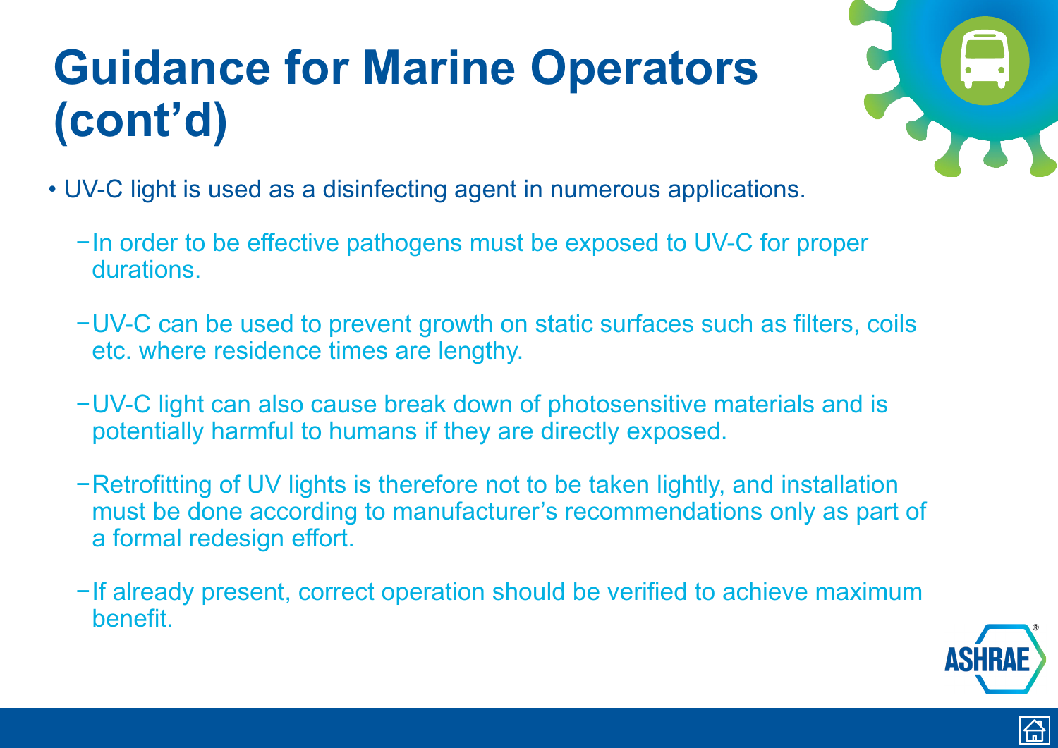- <span id="page-22-0"></span>• UV-C light is used as a disinfecting agent in numerous applications.
	- −In order to be effective pathogens must be exposed to UV-C for proper durations.
	- −UV-C can be used to prevent growth on static surfaces such as filters, coils etc. where residence times are lengthy.
	- −UV-C light can also cause break down of photosensitive materials and is potentially harmful to humans if they are directly exposed.
	- −Retrofitting of UV lights is therefore not to be taken lightly, and installation must be done according to manufacturer's recommendations only as part of a formal redesign effort.
	- −If already present, correct operation should be verified to achieve maximum benefit.



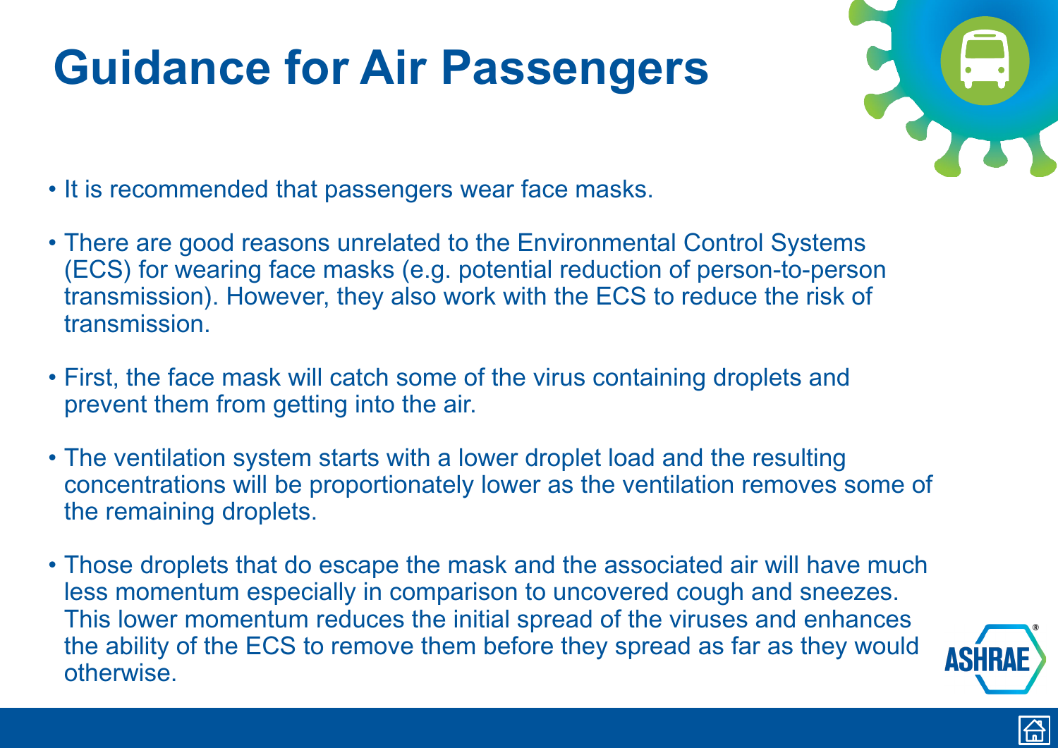### <span id="page-23-0"></span>**Guidance for Air Passengers**

- It is recommended that passengers wear face masks.
- There are good reasons unrelated to the Environmental Control Systems (ECS) for wearing face masks (e.g. potential reduction of person-to-person transmission). However, they also work with the ECS to reduce the risk of transmission.
- First, the face mask will catch some of the virus containing droplets and prevent them from getting into the air.
- The ventilation system starts with a lower droplet load and the resulting concentrations will be proportionately lower as the ventilation removes some of the remaining droplets.
- Those droplets that do escape the mask and the associated air will have much less momentum especially in comparison to uncovered cough and sneezes. This lower momentum reduces the initial spread of the viruses and enhances the ability of the ECS to remove them before they spread as far as they would otherwise.





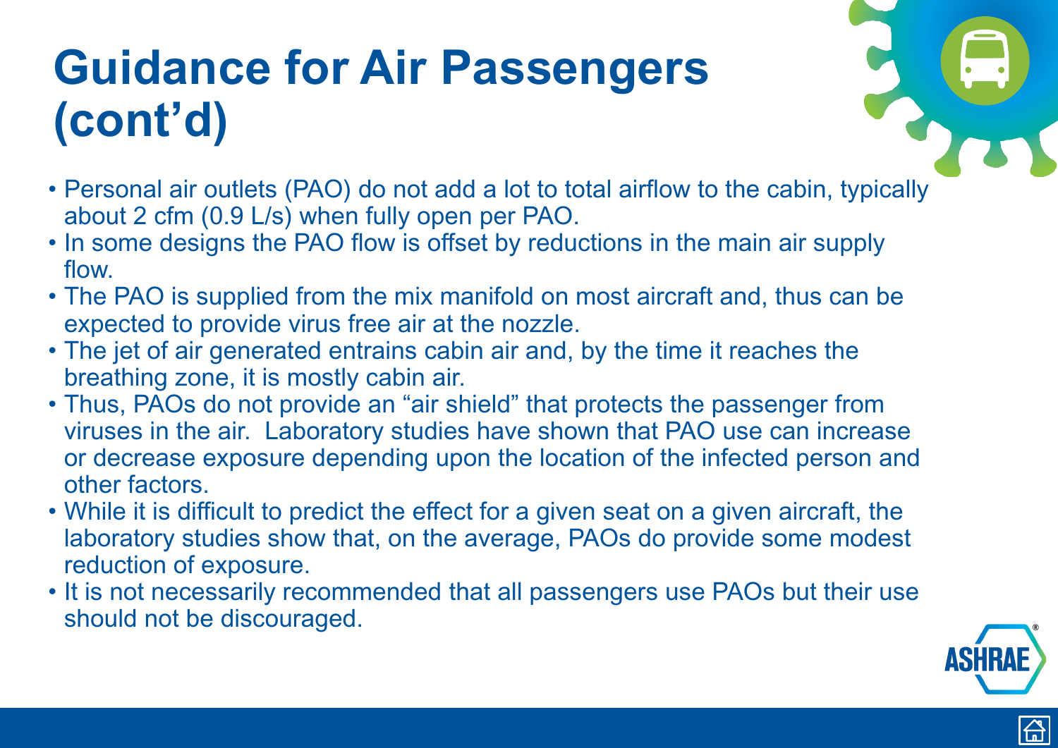# <span id="page-24-0"></span>**Guidance for Air Passengers (cont'd)**

- Personal air outlets (PAO) do not add a lot to total airflow to the cabin, typically about 2 cfm (0.9 L/s) when fully open per PAO.
- In some designs the PAO flow is offset by reductions in the main air supply flow.
- The PAO is supplied from the mix manifold on most aircraft and, thus can be expected to provide virus free air at the nozzle.
- The jet of air generated entrains cabin air and, by the time it reaches the breathing zone, it is mostly cabin air.
- Thus, PAOs do not provide an "air shield" that protects the passenger from viruses in the air. Laboratory studies have shown that PAO use can increase or decrease exposure depending upon the location of the infected person and other factors.
- While it is difficult to predict the effect for a given seat on a given aircraft, the laboratory studies show that, on the average, PAOs do provide some modest reduction of exposure.
- It is not necessarily recommended that all passengers use PAOs but their use should not be discouraged.





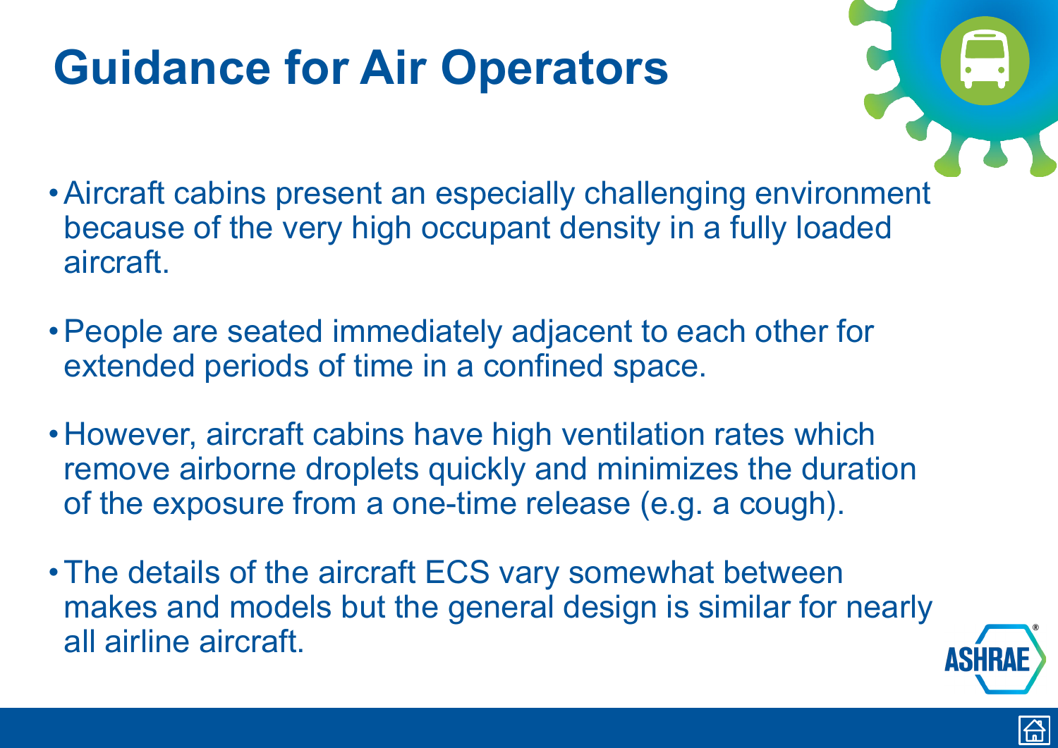### <span id="page-25-0"></span>**Guidance for Air Operators**

- •Aircraft cabins present an especially challenging environment because of the very high occupant density in a fully loaded aircraft.
- •People are seated immediately adjacent to each other for extended periods of time in a confined space.
- However, aircraft cabins have high ventilation rates which remove airborne droplets quickly and minimizes the duration of the exposure from a one-time release (e.g. a cough).
- The details of the aircraft ECS vary somewhat between makes and models but the general design is similar for nearly all airline aircraft.





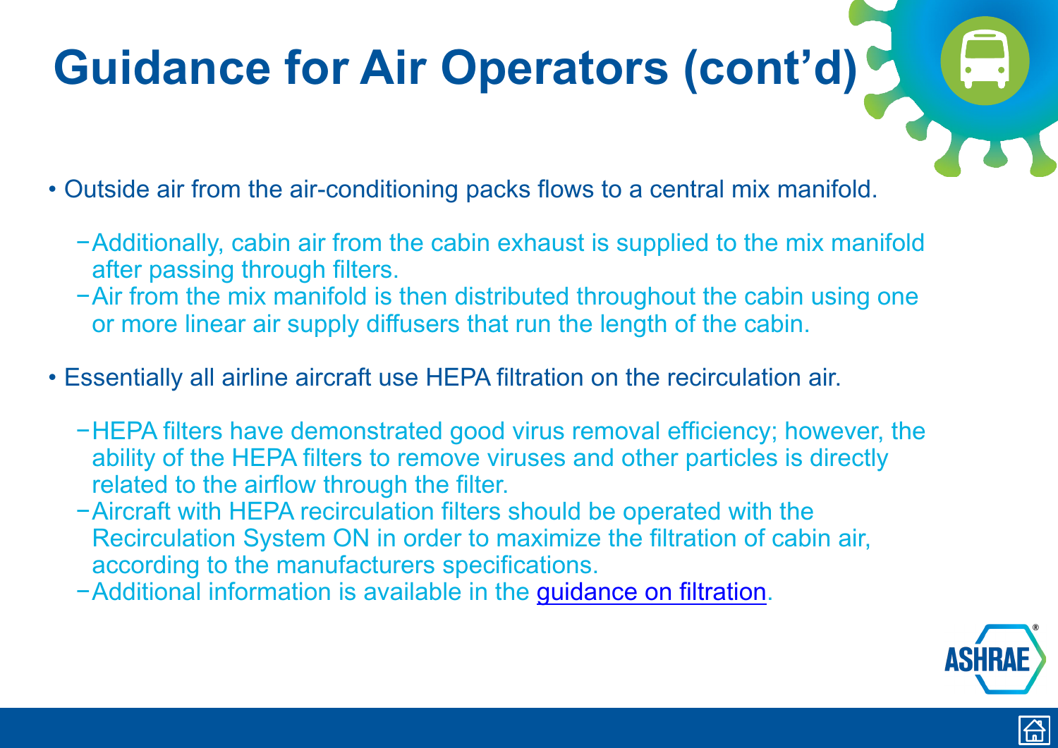<span id="page-26-0"></span>• Outside air from the air-conditioning packs flows to a central mix manifold.

- −Additionally, cabin air from the cabin exhaust is supplied to the mix manifold after passing through filters.
- −Air from the mix manifold is then distributed throughout the cabin using one or more linear air supply diffusers that run the length of the cabin.
- Essentially all airline aircraft use HEPA filtration on the recirculation air.
	- −HEPA filters have demonstrated good virus removal efficiency; however, the ability of the HEPA filters to remove viruses and other particles is directly related to the airflow through the filter.
	- −Aircraft with HEPA recirculation filters should be operated with the Recirculation System ON in order to maximize the filtration of cabin air, according to the manufacturers specifications.
	- −Additional information is available in the [guidance on filtration](https://www.ashrae.org/technical-resources/filtration-disinfection#modes).





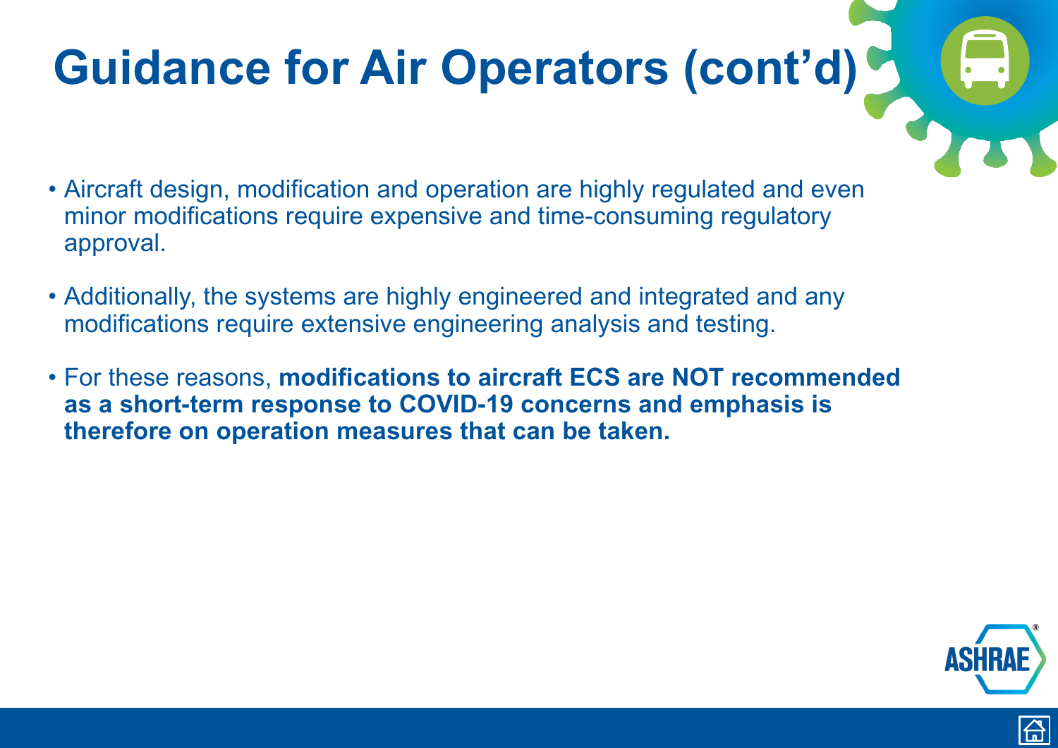- <span id="page-27-0"></span>• Aircraft design, modification and operation are highly regulated and even minor modifications require expensive and time-consuming regulatory approval.
- Additionally, the systems are highly engineered and integrated and any modifications require extensive engineering analysis and testing.
- For these reasons, **modifications to aircraft ECS are NOT recommended as a short-term response to COVID-19 concerns and emphasis is therefore on operation measures that can be taken.**





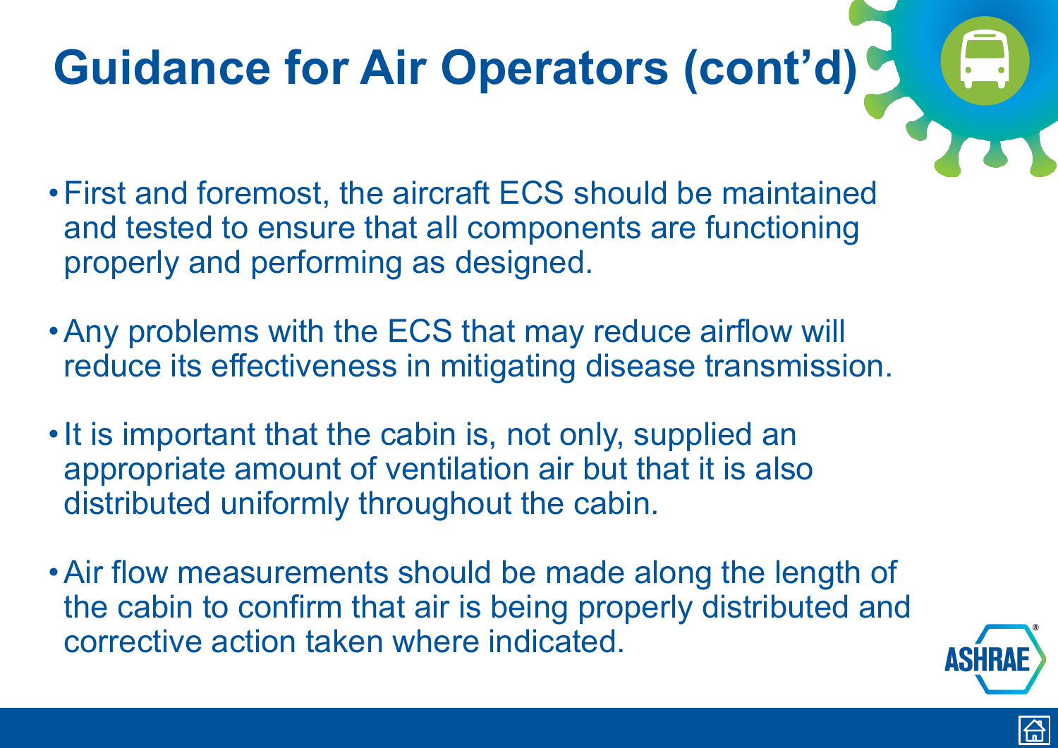- <span id="page-28-0"></span>•First and foremost, the aircraft ECS should be maintained and tested to ensure that all components are functioning properly and performing as designed.
- •Any problems with the ECS that may reduce airflow will reduce its effectiveness in mitigating disease transmission.
- It is important that the cabin is, not only, supplied an appropriate amount of ventilation air but that it is also distributed uniformly throughout the cabin.
- Air flow measurements should be made along the length of the cabin to confirm that air is being properly distributed and corrective action taken where indicated.







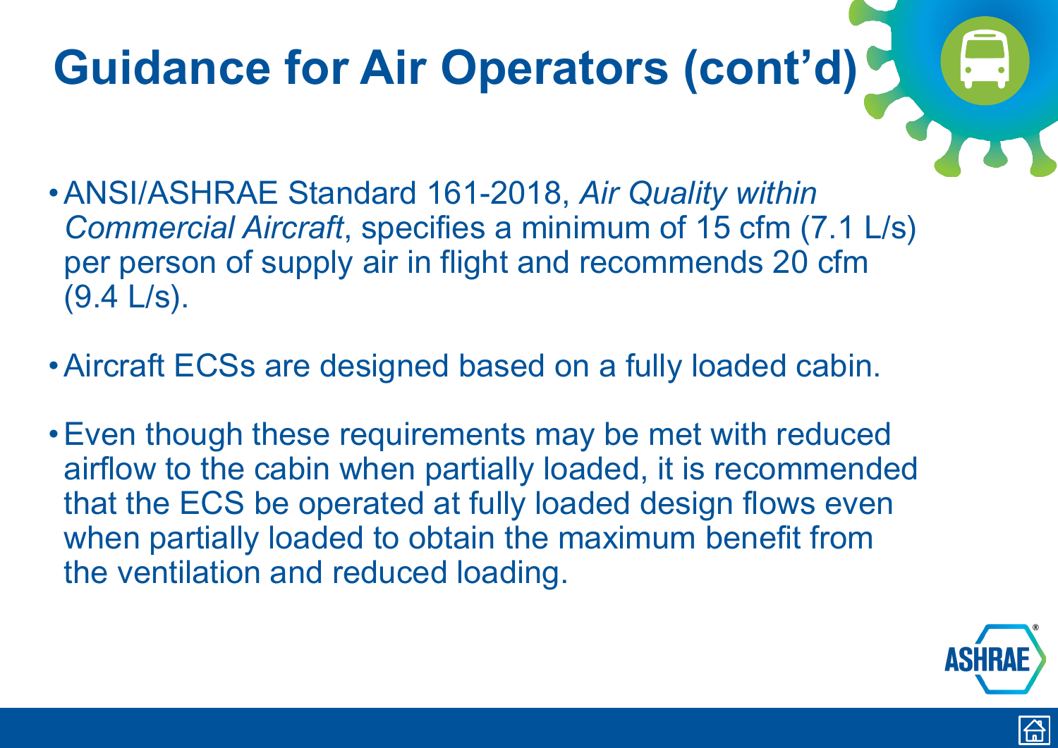- •ANSI/ASHRAE Standard 161-2018, *Air Quality within Commercial Aircraft*, specifies a minimum of 15 cfm (7.1 L/s) per person of supply air in flight and recommends 20 cfm (9.4 L/s).
- •Aircraft ECSs are designed based on a fully loaded cabin.
- •Even though these requirements may be met with reduced airflow to the cabin when partially loaded, it is recommended that the ECS be operated at fully loaded design flows even when partially loaded to obtain the maximum benefit from the ventilation and reduced loading.





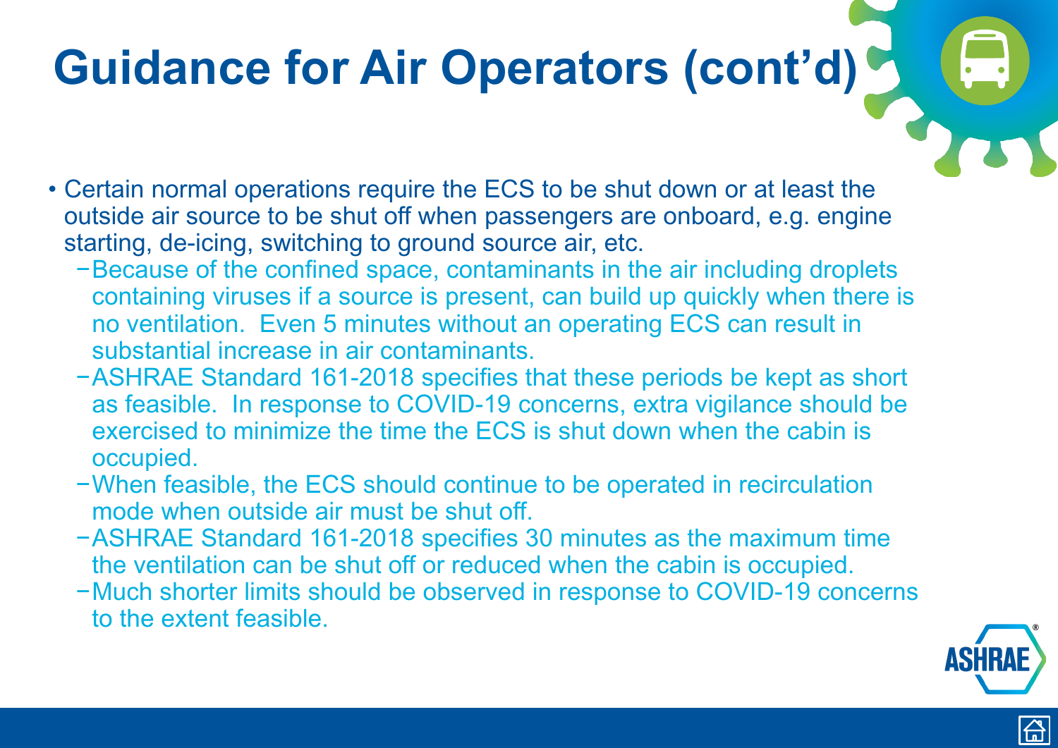- Certain normal operations require the ECS to be shut down or at least the outside air source to be shut off when passengers are onboard, e.g. engine starting, de-icing, switching to ground source air, etc.
	- −Because of the confined space, contaminants in the air including droplets containing viruses if a source is present, can build up quickly when there is no ventilation. Even 5 minutes without an operating ECS can result in substantial increase in air contaminants.
	- −ASHRAE Standard 161-2018 specifies that these periods be kept as short as feasible. In response to COVID-19 concerns, extra vigilance should be exercised to minimize the time the ECS is shut down when the cabin is occupied.
	- −When feasible, the ECS should continue to be operated in recirculation mode when outside air must be shut off.
	- −ASHRAE Standard 161-2018 specifies 30 minutes as the maximum time the ventilation can be shut off or reduced when the cabin is occupied.
	- −Much shorter limits should be observed in response to COVID-19 concerns to the extent feasible.





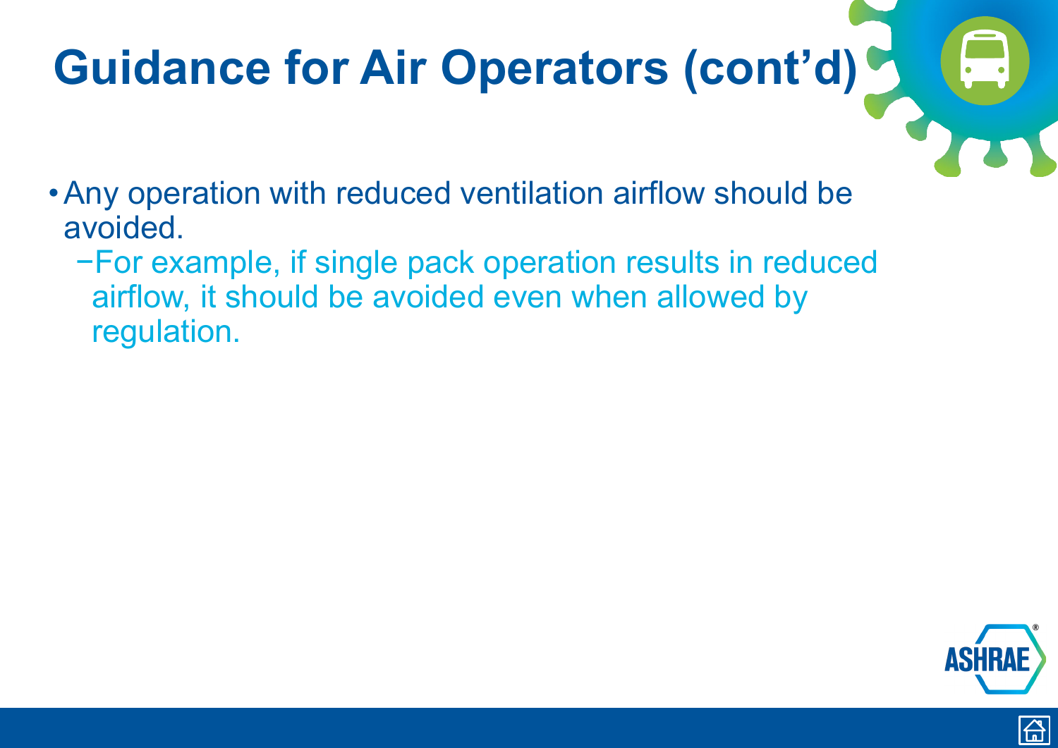- <span id="page-31-0"></span>•Any operation with reduced ventilation airflow should be avoided.
	- −For example, if single pack operation results in reduced airflow, it should be avoided even when allowed by regulation.



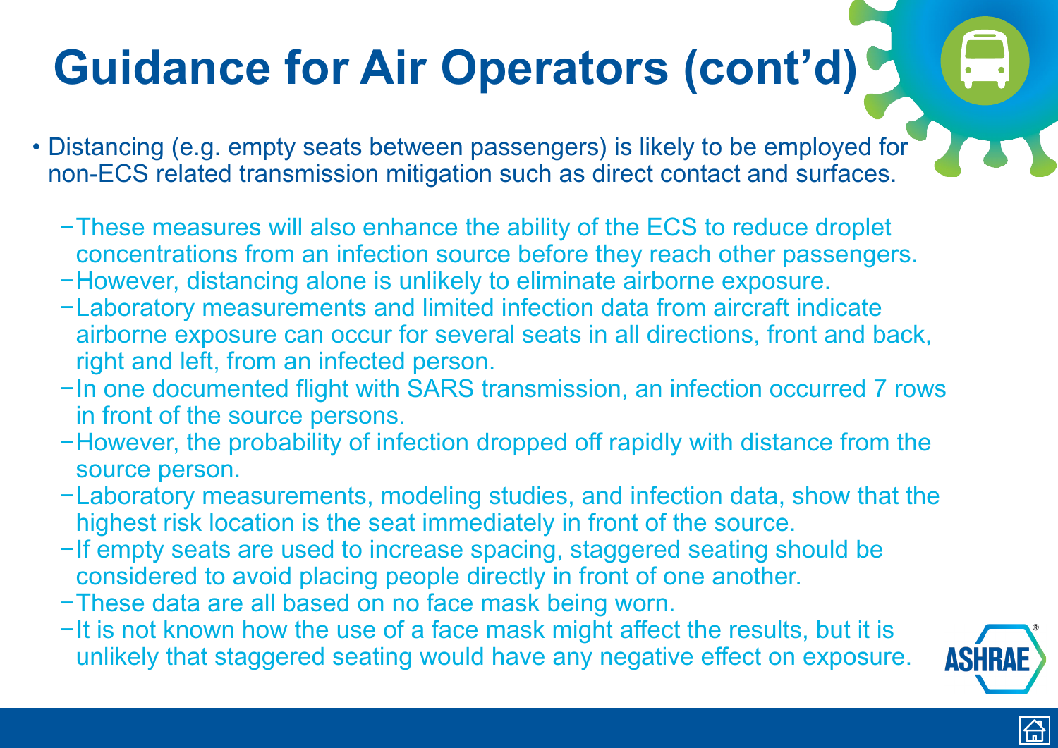- <span id="page-32-0"></span>• Distancing (e.g. empty seats between passengers) is likely to be employed for non-ECS related transmission mitigation such as direct contact and surfaces.
	- −These measures will also enhance the ability of the ECS to reduce droplet concentrations from an infection source before they reach other passengers.
	- −However, distancing alone is unlikely to eliminate airborne exposure.
	- −Laboratory measurements and limited infection data from aircraft indicate airborne exposure can occur for several seats in all directions, front and back, right and left, from an infected person.
	- −In one documented flight with SARS transmission, an infection occurred 7 rows in front of the source persons.
	- −However, the probability of infection dropped off rapidly with distance from the source person.
	- −Laboratory measurements, modeling studies, and infection data, show that the highest risk location is the seat immediately in front of the source.
	- −If empty seats are used to increase spacing, staggered seating should be considered to avoid placing people directly in front of one another.
	- −These data are all based on no face mask being worn.
	- −It is not known how the use of a face mask might affect the results, but it is unlikely that staggered seating would have any negative effect on exposure.





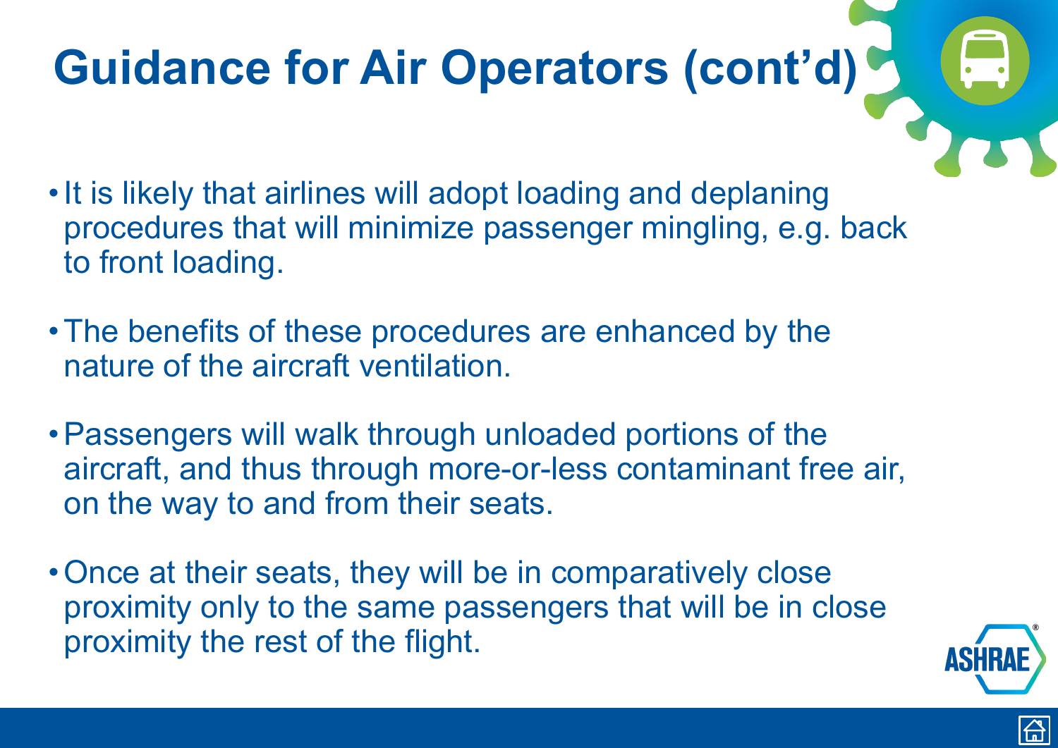- <span id="page-33-0"></span>• It is likely that airlines will adopt loading and deplaning procedures that will minimize passenger mingling, e.g. back to front loading.
- •The benefits of these procedures are enhanced by the nature of the aircraft ventilation.
- •Passengers will walk through unloaded portions of the aircraft, and thus through more-or-less contaminant free air, on the way to and from their seats.
- Once at their seats, they will be in comparatively close proximity only to the same passengers that will be in close proximity the rest of the flight.





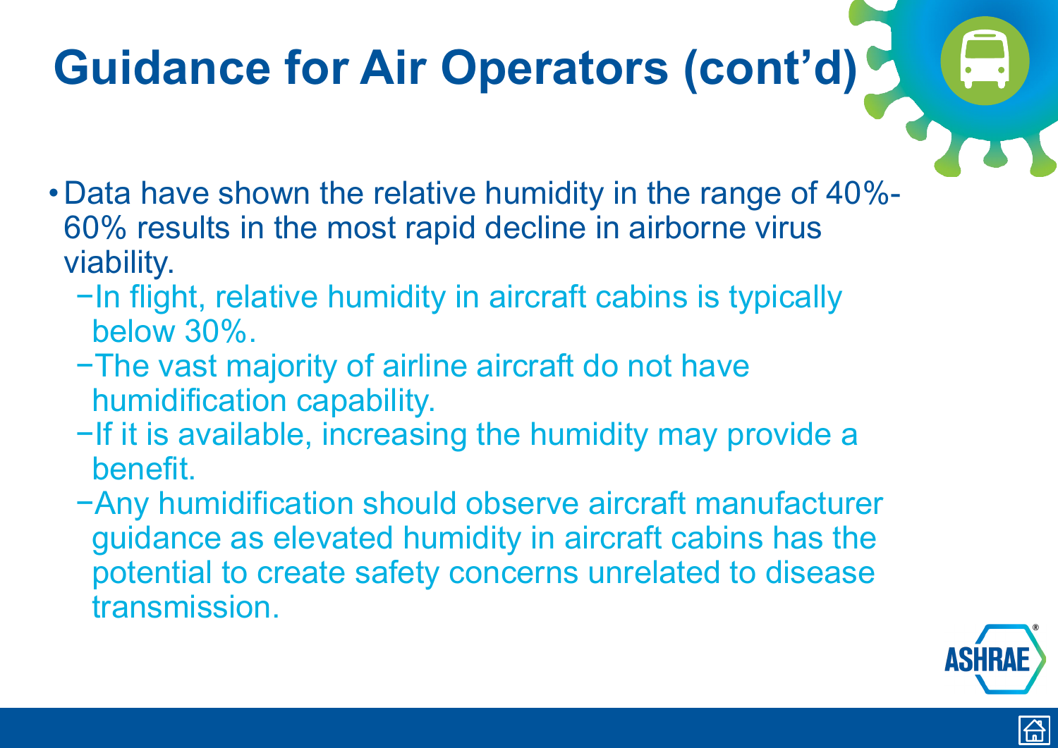- <span id="page-34-0"></span>• Data have shown the relative humidity in the range of 40%- 60% results in the most rapid decline in airborne virus viability.
	- −In flight, relative humidity in aircraft cabins is typically below 30%.
	- −The vast majority of airline aircraft do not have humidification capability.
	- −If it is available, increasing the humidity may provide a benefit.
	- −Any humidification should observe aircraft manufacturer guidance as elevated humidity in aircraft cabins has the potential to create safety concerns unrelated to disease transmission.





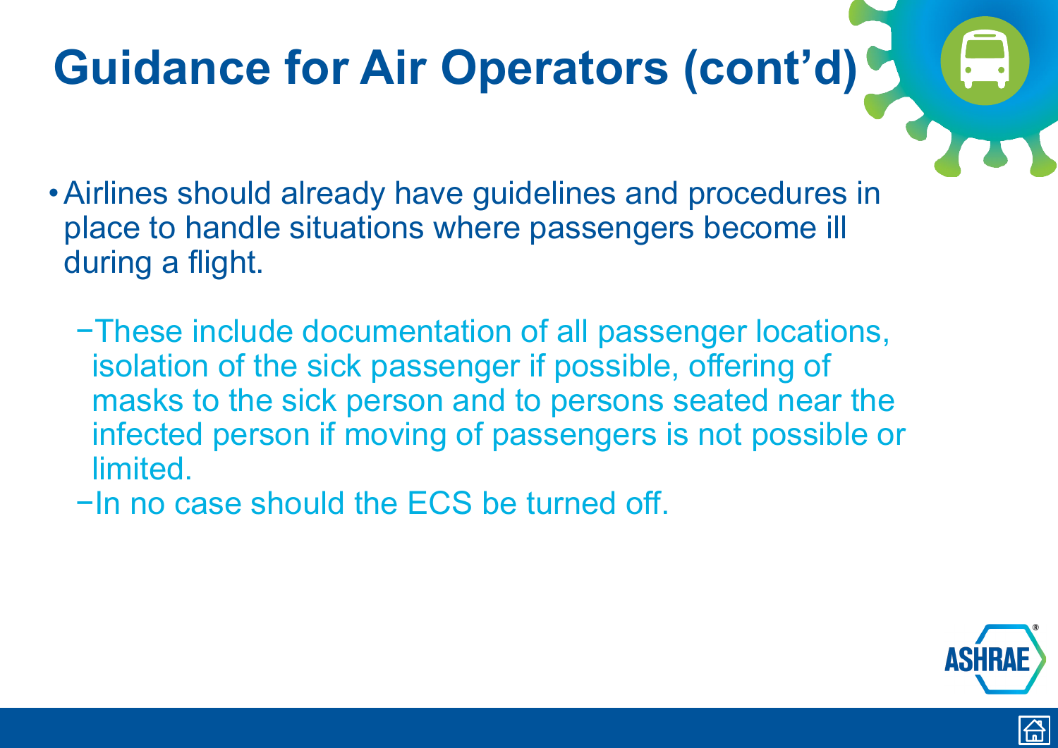- <span id="page-35-0"></span>•Airlines should already have guidelines and procedures in place to handle situations where passengers become ill during a flight.
	- −These include documentation of all passenger locations, isolation of the sick passenger if possible, offering of masks to the sick person and to persons seated near the infected person if moving of passengers is not possible or limited.
	- −In no case should the ECS be turned off.





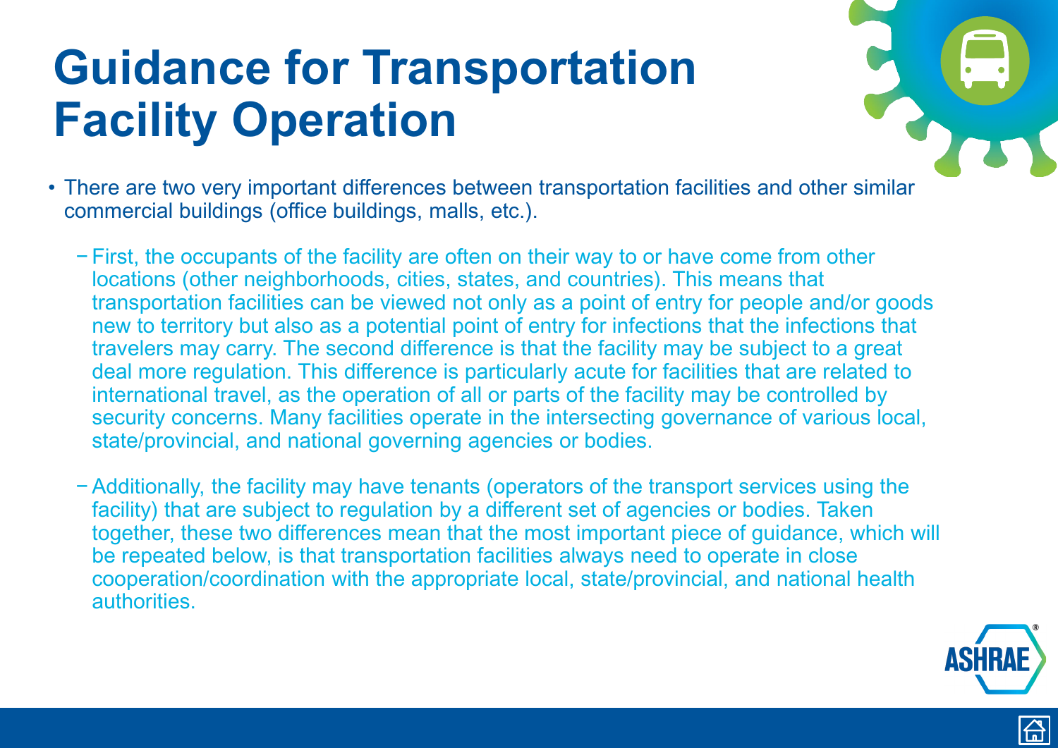- <span id="page-36-0"></span>• There are two very important differences between transportation facilities and other similar commercial buildings (office buildings, malls, etc.).
	- − First, the occupants of the facility are often on their way to or have come from other locations (other neighborhoods, cities, states, and countries). This means that transportation facilities can be viewed not only as a point of entry for people and/or goods new to territory but also as a potential point of entry for infections that the infections that travelers may carry. The second difference is that the facility may be subject to a great deal more regulation. This difference is particularly acute for facilities that are related to international travel, as the operation of all or parts of the facility may be controlled by security concerns. Many facilities operate in the intersecting governance of various local, state/provincial, and national governing agencies or bodies.
	- −Additionally, the facility may have tenants (operators of the transport services using the facility) that are subject to regulation by a different set of agencies or bodies. Taken together, these two differences mean that the most important piece of guidance, which will be repeated below, is that transportation facilities always need to operate in close cooperation/coordination with the appropriate local, state/provincial, and national health authorities.





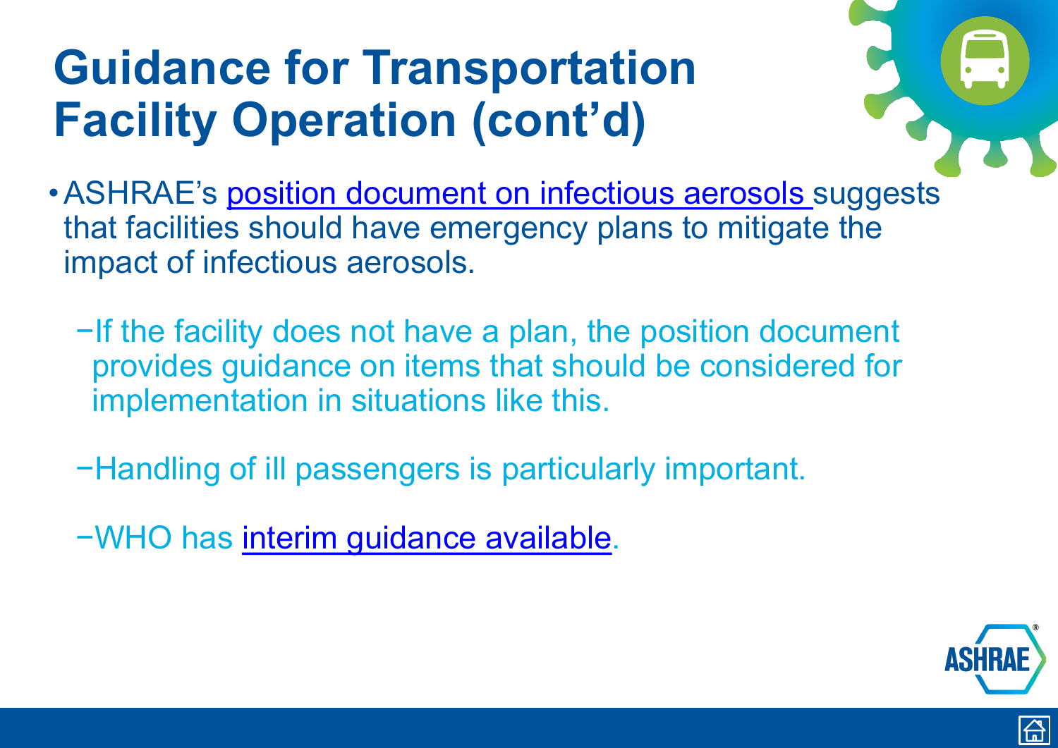- <span id="page-37-0"></span>• ASHRAE's [position document on infectious aerosols](https://www.ashrae.org/file%20library/about/position%20documents/pd_infectiousaerosols_2020.pdf) suggests that facilities should have emergency plans to mitigate the impact of infectious aerosols.
	- −If the facility does not have a plan, the position document provides guidance on items that should be considered for implementation in situations like this.
	- −Handling of ill passengers is particularly important.
	- −WHO has [interim guidance available.](https://apps.who.int/iris/bitstream/handle/10665/331003/WHO-2019-nCoV-POEmgmt-2020.1-eng.pdf)





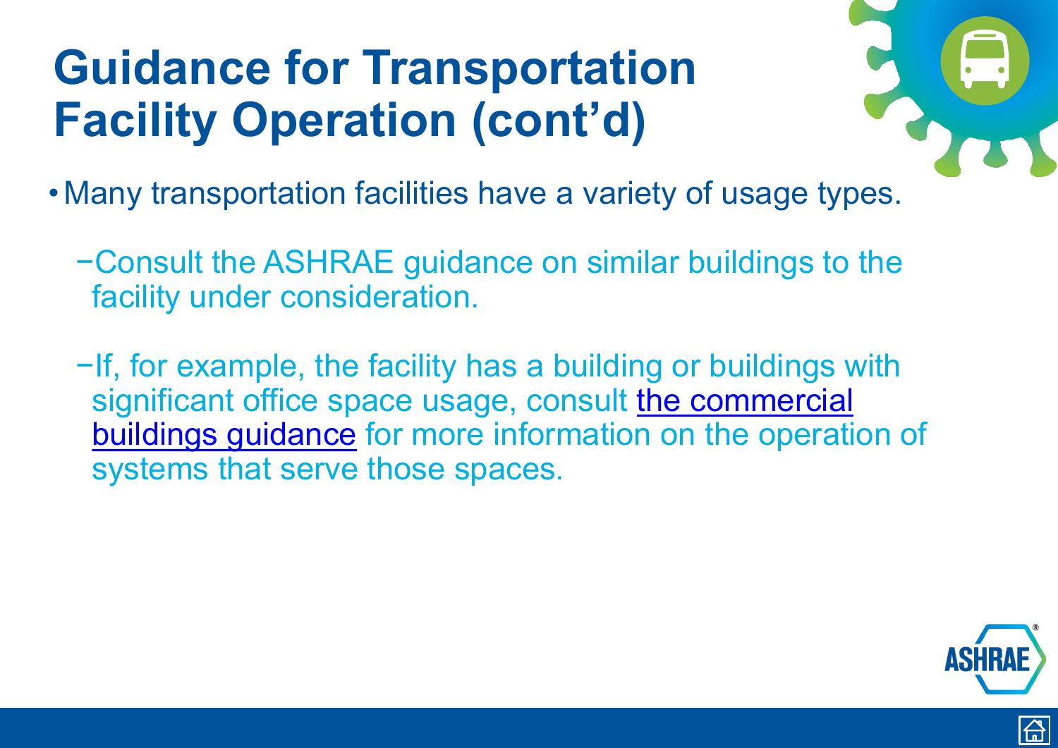- <span id="page-38-0"></span>• Many transportation facilities have a variety of usage types.
	- −Consult the ASHRAE guidance on similar buildings to the facility under consideration.
	- −If, for example, the facility has a building or buildings with [significant office space usage, consult the commercial](https://www.ashrae.org/technical-resources/commercial#general) buildings guidance for more information on the operation of systems that serve those spaces.





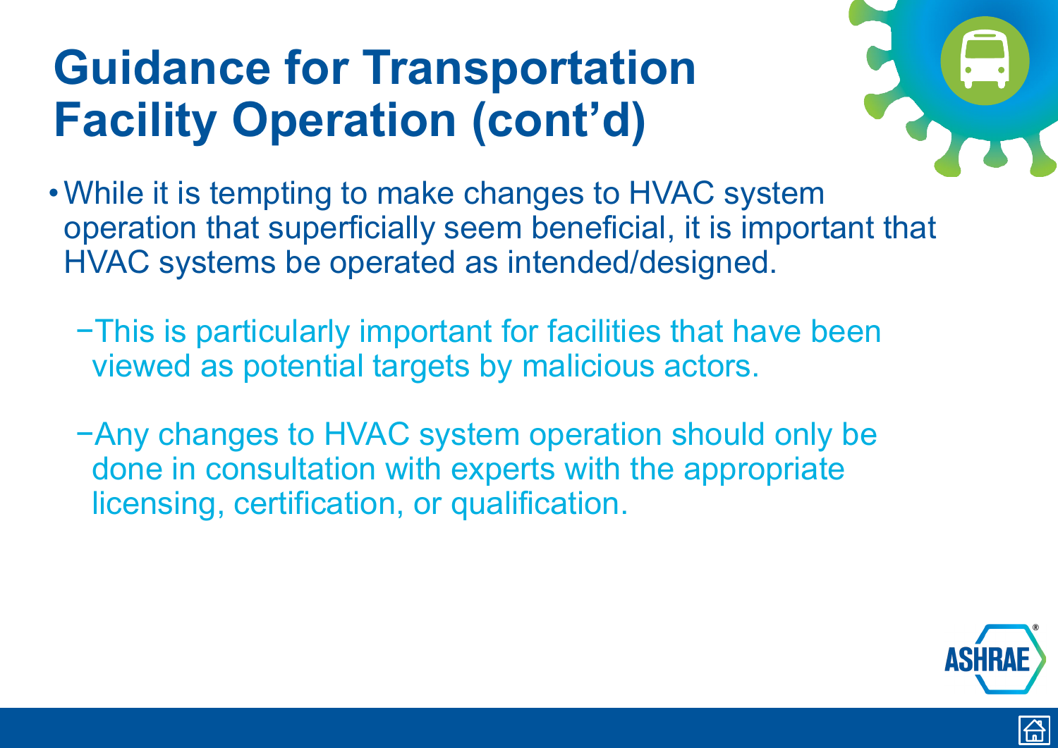- <span id="page-39-0"></span>•While it is tempting to make changes to HVAC system operation that superficially seem beneficial, it is important that HVAC systems be operated as intended/designed.
	- −This is particularly important for facilities that have been viewed as potential targets by malicious actors.
	- −Any changes to HVAC system operation should only be done in consultation with experts with the appropriate licensing, certification, or qualification.





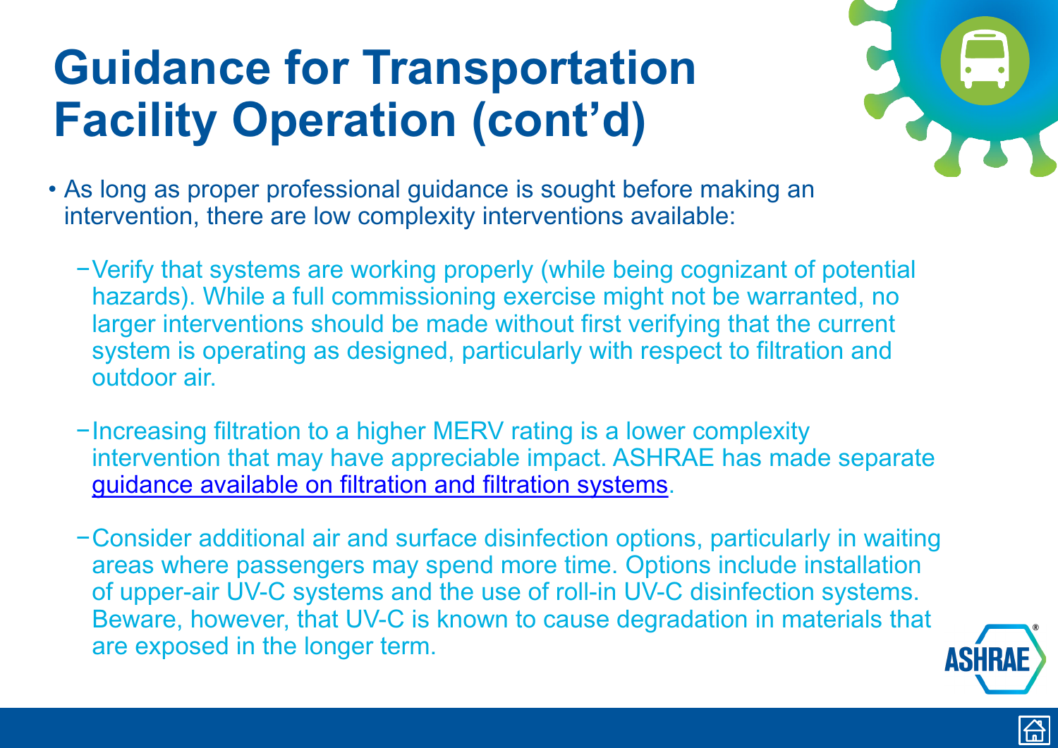- As long as proper professional guidance is sought before making an intervention, there are low complexity interventions available:
	- −Verify that systems are working properly (while being cognizant of potential hazards). While a full commissioning exercise might not be warranted, no larger interventions should be made without first verifying that the current system is operating as designed, particularly with respect to filtration and outdoor air.
	- −Increasing filtration to a higher MERV rating is a lower complexity intervention that may have appreciable impact. ASHRAE has made separate [guidance available on filtration and filtration systems](https://www.ashrae.org/technical-resources/filtration-disinfection#modes).
	- −Consider additional air and surface disinfection options, particularly in waiting areas where passengers may spend more time. Options include installation of upper-air UV-C systems and the use of roll-in UV-C disinfection systems. Beware, however, that UV-C is known to cause degradation in materials that are exposed in the longer term.





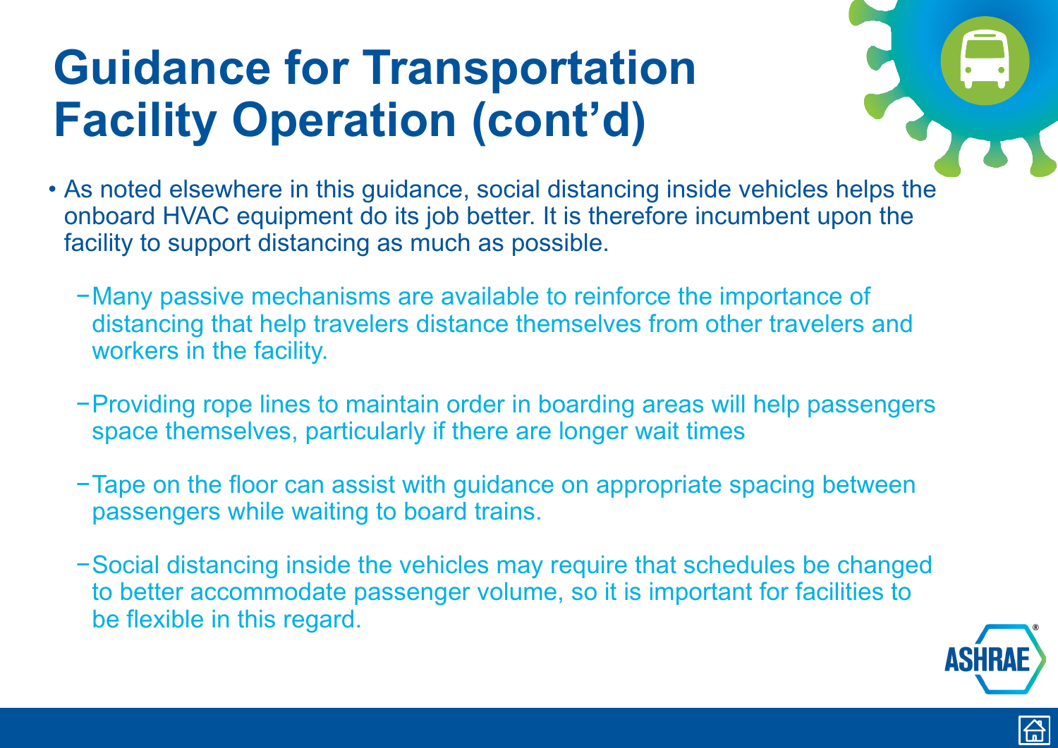- <span id="page-41-0"></span>• As noted elsewhere in this guidance, social distancing inside vehicles helps the onboard HVAC equipment do its job better. It is therefore incumbent upon the facility to support distancing as much as possible.
	- −Many passive mechanisms are available to reinforce the importance of distancing that help travelers distance themselves from other travelers and workers in the facility.
	- −Providing rope lines to maintain order in boarding areas will help passengers space themselves, particularly if there are longer wait times
	- −Tape on the floor can assist with guidance on appropriate spacing between passengers while waiting to board trains.
	- −Social distancing inside the vehicles may require that schedules be changed to better accommodate passenger volume, so it is important for facilities to be flexible in this regard.





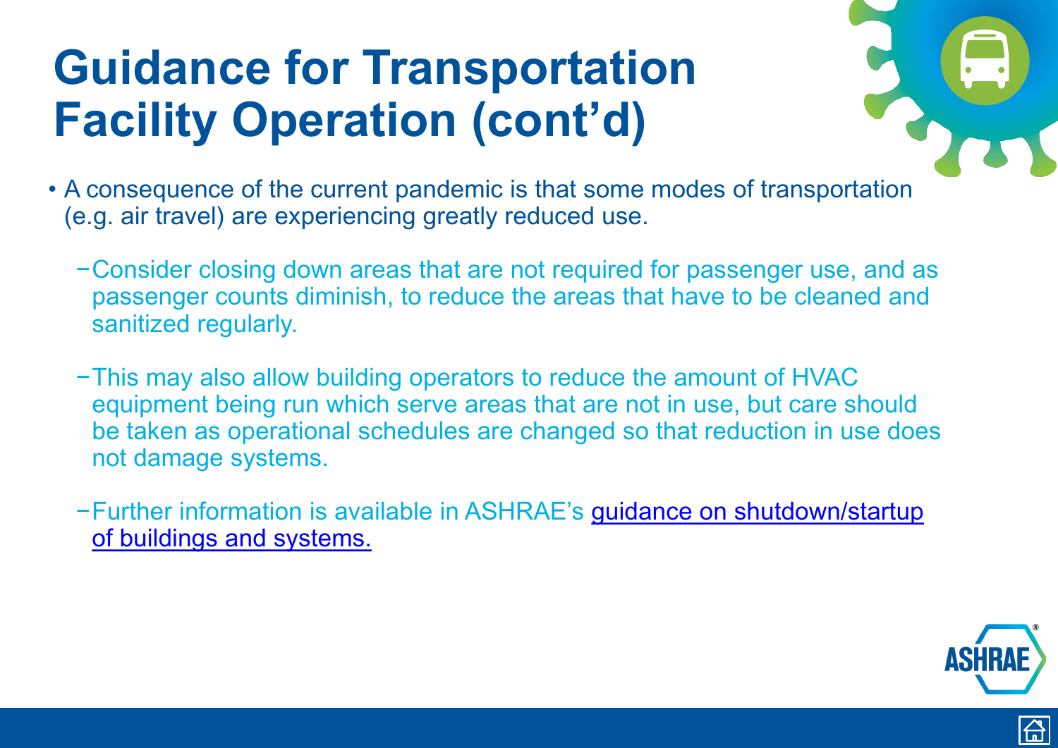- <span id="page-42-0"></span>• A consequence of the current pandemic is that some modes of transportation (e.g. air travel) are experiencing greatly reduced use.
	- −Consider closing down areas that are not required for passenger use, and as passenger counts diminish, to reduce the areas that have to be cleaned and sanitized regularly.
	- −This may also allow building operators to reduce the amount of HVAC equipment being run which serve areas that are not in use, but care should be taken as operational schedules are changed so that reduction in use does not damage systems.
	- −[Further information is available in ASHRAE's guidance on shutdown/startup](https://www.ashrae.org/technical-resources/frequently-asked-questions-faq)  of buildings and systems.